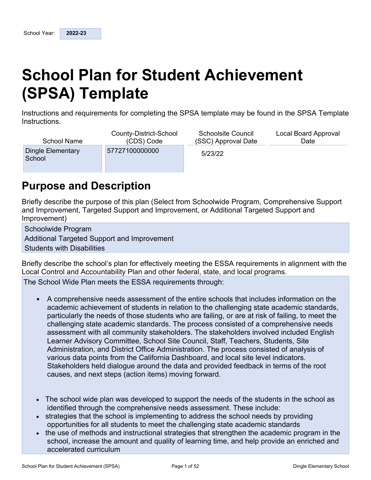# **School Plan for Student Achievement (SPSA) Template**

Instructions and requirements for completing the SPSA template may be found in the SPSA Template Instructions.

| <b>School Name</b>          | County-District-School | <b>Schoolsite Council</b> | Local Board Approval |
|-----------------------------|------------------------|---------------------------|----------------------|
|                             | (CDS) Code             | (SSC) Approval Date       | Date                 |
| Dingle Elementary<br>School | 57727100000000         | 5/23/22                   |                      |

## **Purpose and Description**

Briefly describe the purpose of this plan (Select from Schoolwide Program, Comprehensive Support and Improvement, Targeted Support and Improvement, or Additional Targeted Support and Improvement)

Schoolwide Program Additional Targeted Support and Improvement Students with Disabilities

Briefly describe the school's plan for effectively meeting the ESSA requirements in alignment with the Local Control and Accountability Plan and other federal, state, and local programs. The School Wide Plan meets the ESSA requirements through:

- A comprehensive needs assessment of the entire schools that includes information on the academic achievement of students in relation to the challenging state academic standards, particularly the needs of those students who are failing, or are at risk of failing, to meet the challenging state academic standards. The process consisted of a comprehensive needs assessment with all community stakeholders. The stakeholders involved included English Learner Advisory Committee, School Site Council, Staff, Teachers, Students, Site Administration, and District Office Administration. The process consisted of analysis of various data points from the California Dashboard, and local site level indicators. Stakeholders held dialogue around the data and provided feedback in terms of the root causes, and next steps (action items) moving forward.
- The school wide plan was developed to support the needs of the students in the school as identified through the comprehensive needs assessment. These include:
- strategies that the school is implementing to address the school needs by providing opportunities for all students to meet the challenging state academic standards
- the use of methods and instructional strategies that strengthen the academic program in the school, increase the amount and quality of learning time, and help provide an enriched and accelerated curriculum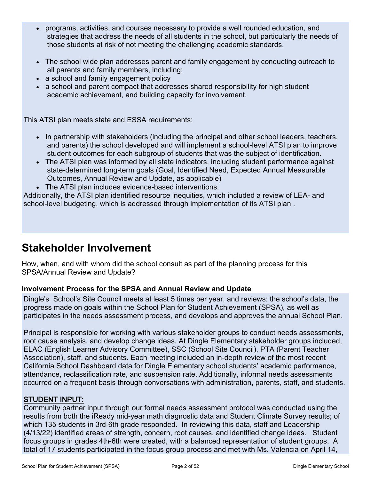- programs, activities, and courses necessary to provide a well rounded education, and strategies that address the needs of all students in the school, but particularly the needs of those students at risk of not meeting the challenging academic standards.
- The school wide plan addresses parent and family engagement by conducting outreach to all parents and family members, including:
- a school and family engagement policy
- a school and parent compact that addresses shared responsibility for high student academic achievement, and building capacity for involvement.

This ATSI plan meets state and ESSA requirements:

- In partnership with stakeholders (including the principal and other school leaders, teachers, and parents) the school developed and will implement a school-level ATSI plan to improve student outcomes for each subgroup of students that was the subject of identification.
- The ATSI plan was informed by all state indicators, including student performance against state-determined long-term goals (Goal, Identified Need, Expected Annual Measurable Outcomes, Annual Review and Update, as applicable)
- The ATSI plan includes evidence-based interventions.

Additionally, the ATSI plan identified resource inequities, which included a review of LEA- and school-level budgeting, which is addressed through implementation of its ATSI plan .

## **Stakeholder Involvement**

How, when, and with whom did the school consult as part of the planning process for this SPSA/Annual Review and Update?

#### **Involvement Process for the SPSA and Annual Review and Update**

Dingle's School's Site Council meets at least 5 times per year, and reviews: the school's data, the progress made on goals within the School Plan for Student Achievement (SPSA), as well as participates in the needs assessment process, and develops and approves the annual School Plan.

Principal is responsible for working with various stakeholder groups to conduct needs assessments, root cause analysis, and develop change ideas. At Dingle Elementary stakeholder groups included, ELAC (English Learner Advisory Committee), SSC (School Site Council), PTA (Parent Teacher Association), staff, and students. Each meeting included an in-depth review of the most recent California School Dashboard data for Dingle Elementary school students' academic performance, attendance, reclassification rate, and suspension rate. Additionally, informal needs assessments occurred on a frequent basis through conversations with administration, parents, staff, and students.

#### STUDENT INPUT:

Community partner input through our formal needs assessment protocol was conducted using the results from both the iReady mid-year math diagnostic data and Student Climate Survey results; of which 135 students in 3rd-6th grade responded. In reviewing this data, staff and Leadership (4/13/22) identified areas of strength, concern, root causes, and identified change ideas. Student focus groups in grades 4th-6th were created, with a balanced representation of student groups. A total of 17 students participated in the focus group process and met with Ms. Valencia on April 14,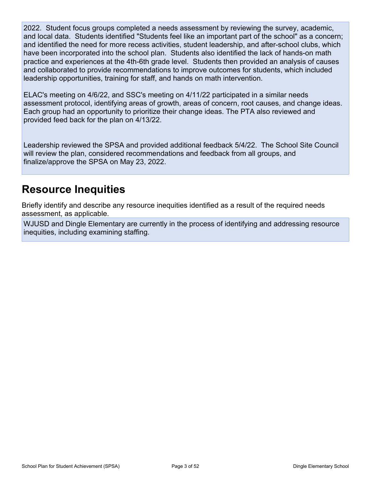2022. Student focus groups completed a needs assessment by reviewing the survey, academic, and local data. Students identified "Students feel like an important part of the school" as a concern; and identified the need for more recess activities, student leadership, and after-school clubs, which have been incorporated into the school plan. Students also identified the lack of hands-on math practice and experiences at the 4th-6th grade level. Students then provided an analysis of causes and collaborated to provide recommendations to improve outcomes for students, which included leadership opportunities, training for staff, and hands on math intervention.

ELAC's meeting on 4/6/22, and SSC's meeting on 4/11/22 participated in a similar needs assessment protocol, identifying areas of growth, areas of concern, root causes, and change ideas. Each group had an opportunity to prioritize their change ideas. The PTA also reviewed and provided feed back for the plan on 4/13/22.

Leadership reviewed the SPSA and provided additional feedback 5/4/22. The School Site Council will review the plan, considered recommendations and feedback from all groups, and finalize/approve the SPSA on May 23, 2022.

## **Resource Inequities**

Briefly identify and describe any resource inequities identified as a result of the required needs assessment, as applicable.

WJUSD and Dingle Elementary are currently in the process of identifying and addressing resource inequities, including examining staffing.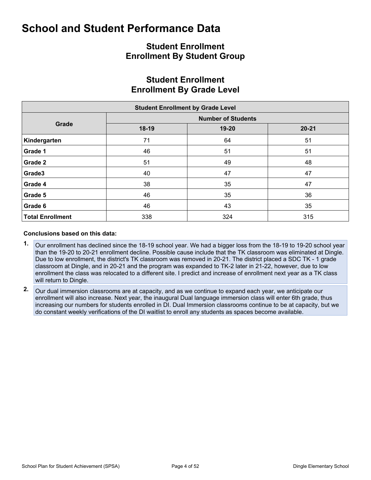### **Student Enrollment Enrollment By Student Group**

### **Student Enrollment Enrollment By Grade Level**

| <b>Student Enrollment by Grade Level</b> |       |                           |           |  |  |  |  |  |  |  |  |
|------------------------------------------|-------|---------------------------|-----------|--|--|--|--|--|--|--|--|
|                                          |       | <b>Number of Students</b> |           |  |  |  |  |  |  |  |  |
| Grade                                    | 18-19 | 19-20                     | $20 - 21$ |  |  |  |  |  |  |  |  |
| Kindergarten                             | 71    | 64                        | 51        |  |  |  |  |  |  |  |  |
| Grade 1                                  | 46    | 51                        | 51        |  |  |  |  |  |  |  |  |
| Grade 2                                  | 51    | 49                        | 48        |  |  |  |  |  |  |  |  |
| Grade3                                   | 40    | 47                        | 47        |  |  |  |  |  |  |  |  |
| Grade 4                                  | 38    | 35                        | 47        |  |  |  |  |  |  |  |  |
| Grade 5                                  | 46    | 35                        | 36        |  |  |  |  |  |  |  |  |
| Grade 6                                  | 46    | 43                        | 35        |  |  |  |  |  |  |  |  |
| <b>Total Enrollment</b>                  | 338   | 324                       | 315       |  |  |  |  |  |  |  |  |

#### **Conclusions based on this data:**

- **1.** Our enrollment has declined since the 18-19 school year. We had a bigger loss from the 18-19 to 19-20 school year than the 19-20 to 20-21 enrollment decline. Possible cause include that the TK classroom was eliminated at Dingle. Due to low enrollment, the district's TK classroom was removed in 20-21. The district placed a SDC TK - 1 grade classroom at Dingle, and in 20-21 and the program was expanded to TK-2 later in 21-22, however, due to low enrollment the class was relocated to a different site. I predict and increase of enrollment next year as a TK class will return to Dingle.
- **2.** Our dual immersion classrooms are at capacity, and as we continue to expand each year, we anticipate our enrollment will also increase. Next year, the inaugural Dual language immersion class will enter 6th grade, thus increasing our numbers for students enrolled in DI. Dual Immersion classrooms continue to be at capacity, but we do constant weekly verifications of the DI waitlist to enroll any students as spaces become available.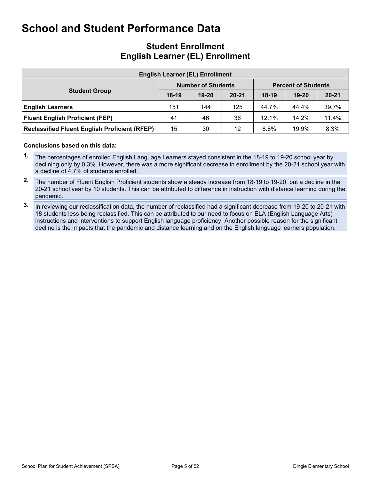### **Student Enrollment English Learner (EL) Enrollment**

| <b>English Learner (EL) Enrollment</b>               |         |                           |           |                            |           |           |  |  |  |  |  |
|------------------------------------------------------|---------|---------------------------|-----------|----------------------------|-----------|-----------|--|--|--|--|--|
|                                                      |         | <b>Number of Students</b> |           | <b>Percent of Students</b> |           |           |  |  |  |  |  |
| <b>Student Group</b>                                 | $18-19$ | $19 - 20$                 | $20 - 21$ | $18-19$                    | $19 - 20$ | $20 - 21$ |  |  |  |  |  |
| <b>English Learners</b>                              | 151     | 144                       | 125       | 44.7%                      | 44.4%     | 39.7%     |  |  |  |  |  |
| <b>Fluent English Proficient (FEP)</b>               | 41      | 46                        | 36        | 12.1%                      | 14.2%     | 11.4%     |  |  |  |  |  |
| <b>Reclassified Fluent English Proficient (RFEP)</b> | 15      | 30                        | 12        | 8.8%                       | 19.9%     | 8.3%      |  |  |  |  |  |

#### **Conclusions based on this data:**

- **1.** The percentages of enrolled English Language Learners stayed consistent in the 18-19 to 19-20 school year by declining only by 0.3%. However, there was a more significant decrease in enrollment by the 20-21 school year with a decline of 4.7% of students enrolled.
- **2.** The number of Fluent English Proficient students show a steady increase from 18-19 to 19-20, but a decline in the 20-21 school year by 10 students. This can be attributed to difference in instruction with distance learning during the pandemic.
- **3.** In reviewing our reclassification data, the number of reclassified had a significant decrease from 19-20 to 20-21 with 18 students less being reclassified. This can be attributed to our need to focus on ELA (English Language Arts) instructions and interventions to support English language proficiency. Another possible reason for the significant decline is the impacts that the pandemic and distance learning and on the English language learners population.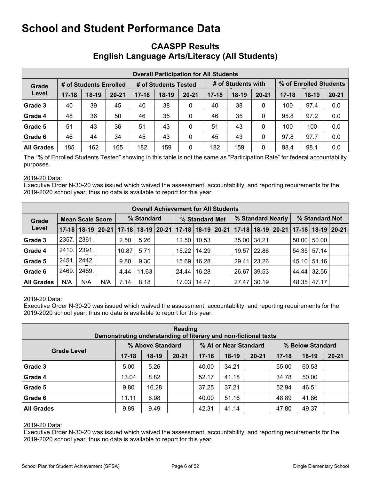### **CAASPP Results English Language Arts/Literacy (All Students)**

| <b>Overall Participation for All Students</b> |           |                        |           |           |                      |           |           |                    |           |                        |         |           |  |  |
|-----------------------------------------------|-----------|------------------------|-----------|-----------|----------------------|-----------|-----------|--------------------|-----------|------------------------|---------|-----------|--|--|
| Grade                                         |           | # of Students Enrolled |           |           | # of Students Tested |           |           | # of Students with |           | % of Enrolled Students |         |           |  |  |
| Level                                         | $17 - 18$ | $18-19$                | $20 - 21$ | $17 - 18$ | $18-19$              | $20 - 21$ | $17 - 18$ | $18-19$            | $20 - 21$ | $17 - 18$              | $18-19$ | $20 - 21$ |  |  |
| Grade 3                                       | 40        | 39                     | 45        | 40        | 38                   | 0         | 40        | 38                 | 0         | 100                    | 97.4    | 0.0       |  |  |
| Grade 4                                       | 48        | 36                     | 50        | 46        | 35                   | 0         | 46        | 35                 | 0         | 95.8                   | 97.2    | 0.0       |  |  |
| Grade 5                                       | 51        | 43                     | 36        | 51        | 43                   | 0         | 51        | 43                 | 0         | 100                    | 100     | 0.0       |  |  |
| Grade 6                                       | 46        | 44                     | 34        | 45        | 43                   | 0         | 45        | 43                 | 0         | 97.8                   | 97.7    | 0.0       |  |  |
| <b>All Grades</b>                             | 185       | 162                    | 165       | 182       | 159                  | 0         | 182       | 159                | 0         | 98.4                   | 98.1    | 0.0       |  |  |

The "% of Enrolled Students Tested" showing in this table is not the same as "Participation Rate" for federal accountability purposes.

#### 2019-20 Data:

Executive Order N-30-20 was issued which waived the assessment, accountability, and reporting requirements for the 2019-2020 school year, thus no data is available to report for this year.

|                                  | <b>Overall Achievement for All Students</b> |       |                                                                                                       |            |       |  |                |       |  |                   |               |  |                |       |  |
|----------------------------------|---------------------------------------------|-------|-------------------------------------------------------------------------------------------------------|------------|-------|--|----------------|-------|--|-------------------|---------------|--|----------------|-------|--|
| <b>Mean Scale Score</b><br>Grade |                                             |       |                                                                                                       | % Standard |       |  | % Standard Met |       |  | % Standard Nearly |               |  | % Standard Not |       |  |
| Level                            |                                             |       | 17-18 18-19 20-21 17-18 18-19 20-21 17-18 18-19 20-21 17-18 20-21 17-18 18-19 20-21 17-18 18-19 20-21 |            |       |  |                |       |  |                   |               |  |                |       |  |
| Grade 3                          | 2357.                                       | 2361. |                                                                                                       | 2.50       | 5.26  |  | 12.50          | 10.53 |  | $35.00$   34.21   |               |  | 50.00          | 50.00 |  |
| Grade 4                          | 2410.                                       | 2391. |                                                                                                       | 10.87      | 5.71  |  | 15.22          | 14.29 |  |                   | 19.57 22.86   |  | 54.35          | 57.14 |  |
| Grade 5                          | 2451.                                       | 2442. |                                                                                                       | 9.80       | 9.30  |  | 15.69          | 16.28 |  |                   | 29.41   23.26 |  | 45.10          | 51.16 |  |
| Grade 6                          | 2469.                                       | 2489. |                                                                                                       | 4.44       | 11.63 |  | 24.44          | 16.28 |  | 26.67             | 39.53         |  | 44.44          | 32.56 |  |
| <b>All Grades</b>                | N/A                                         | N/A   | N/A                                                                                                   | 7.14       | 8.18  |  | 17.03          | 14.47 |  | 27.47             | 30.19         |  | 48.35          | 47.17 |  |

#### 2019-20 Data:

Executive Order N-30-20 was issued which waived the assessment, accountability, and reporting requirements for the 2019-2020 school year, thus no data is available to report for this year.

| <b>Reading</b><br>Demonstrating understanding of literary and non-fictional texts |           |                  |           |           |                       |           |                  |         |           |  |  |  |  |  |
|-----------------------------------------------------------------------------------|-----------|------------------|-----------|-----------|-----------------------|-----------|------------------|---------|-----------|--|--|--|--|--|
|                                                                                   |           | % Above Standard |           |           | % At or Near Standard |           | % Below Standard |         |           |  |  |  |  |  |
| <b>Grade Level</b>                                                                | $17 - 18$ | $18-19$          | $20 - 21$ | $17 - 18$ | $18-19$               | $20 - 21$ | $17 - 18$        | $18-19$ | $20 - 21$ |  |  |  |  |  |
| Grade 3                                                                           | 5.00      | 5.26             |           | 40.00     | 34.21                 |           | 55.00            | 60.53   |           |  |  |  |  |  |
| Grade 4                                                                           | 13.04     | 8.82             |           | 52.17     | 41.18                 |           | 34.78            | 50.00   |           |  |  |  |  |  |
| Grade 5                                                                           | 9.80      | 16.28            |           | 37.25     | 37.21                 |           | 52.94            | 46.51   |           |  |  |  |  |  |
| Grade 6                                                                           | 11.11     | 6.98             |           | 40.00     | 51.16                 |           | 48.89            | 41.86   |           |  |  |  |  |  |
| <b>All Grades</b>                                                                 | 9.89      | 9.49             |           | 42.31     | 41.14                 |           | 47.80            | 49.37   |           |  |  |  |  |  |

#### 2019-20 Data: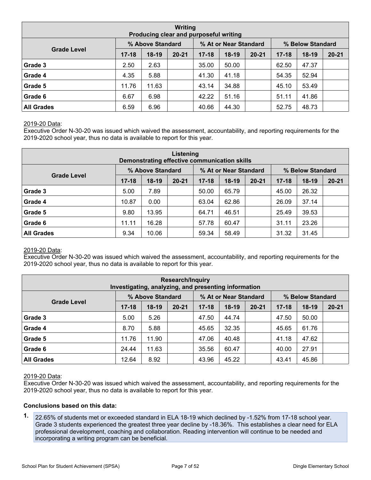| Writing<br>Producing clear and purposeful writing |           |                  |           |           |                       |           |                  |         |           |  |  |  |  |
|---------------------------------------------------|-----------|------------------|-----------|-----------|-----------------------|-----------|------------------|---------|-----------|--|--|--|--|
|                                                   |           | % Above Standard |           |           | % At or Near Standard |           | % Below Standard |         |           |  |  |  |  |
| <b>Grade Level</b>                                | $17 - 18$ | $18-19$          | $20 - 21$ | $17 - 18$ | $18-19$               | $20 - 21$ | $17 - 18$        | $18-19$ | $20 - 21$ |  |  |  |  |
| Grade 3                                           | 2.50      | 2.63             |           | 35.00     | 50.00                 |           | 62.50            | 47.37   |           |  |  |  |  |
| Grade 4                                           | 4.35      | 5.88             |           | 41.30     | 41.18                 |           | 54.35            | 52.94   |           |  |  |  |  |
| Grade 5                                           | 11.76     | 11.63            |           | 43.14     | 34.88                 |           | 45.10            | 53.49   |           |  |  |  |  |
| Grade 6                                           | 6.67      | 6.98             |           | 42.22     | 51.16                 |           | 51.11            | 41.86   |           |  |  |  |  |
| <b>All Grades</b>                                 | 6.59      | 6.96             |           | 40.66     | 44.30                 |           | 52.75            | 48.73   |           |  |  |  |  |

Executive Order N-30-20 was issued which waived the assessment, accountability, and reporting requirements for the 2019-2020 school year, thus no data is available to report for this year.

| Listening<br>Demonstrating effective communication skills |           |                  |           |           |                       |           |                  |         |           |  |  |  |  |
|-----------------------------------------------------------|-----------|------------------|-----------|-----------|-----------------------|-----------|------------------|---------|-----------|--|--|--|--|
|                                                           |           | % Above Standard |           |           | % At or Near Standard |           | % Below Standard |         |           |  |  |  |  |
| <b>Grade Level</b>                                        | $17 - 18$ | $18-19$          | $20 - 21$ | $17 - 18$ | $18-19$               | $20 - 21$ | $17 - 18$        | $18-19$ | $20 - 21$ |  |  |  |  |
| Grade 3                                                   | 5.00      | 7.89             |           | 50.00     | 65.79                 |           | 45.00            | 26.32   |           |  |  |  |  |
| Grade 4                                                   | 10.87     | 0.00             |           | 63.04     | 62.86                 |           | 26.09            | 37.14   |           |  |  |  |  |
| Grade 5                                                   | 9.80      | 13.95            |           | 64.71     | 46.51                 |           | 25.49            | 39.53   |           |  |  |  |  |
| Grade 6                                                   | 11.11     | 16.28            |           | 57.78     | 60.47                 |           | 31.11            | 23.26   |           |  |  |  |  |
| <b>All Grades</b>                                         | 9.34      | 10.06            |           | 59.34     | 58.49                 |           | 31.32            | 31.45   |           |  |  |  |  |

#### 2019-20 Data:

Executive Order N-30-20 was issued which waived the assessment, accountability, and reporting requirements for the 2019-2020 school year, thus no data is available to report for this year.

| <b>Research/Inquiry</b><br>Investigating, analyzing, and presenting information |           |                  |           |           |                       |           |                  |         |           |  |  |  |  |
|---------------------------------------------------------------------------------|-----------|------------------|-----------|-----------|-----------------------|-----------|------------------|---------|-----------|--|--|--|--|
|                                                                                 |           | % Above Standard |           |           | % At or Near Standard |           | % Below Standard |         |           |  |  |  |  |
| <b>Grade Level</b>                                                              | $17 - 18$ | $18-19$          | $20 - 21$ | $17 - 18$ | $18-19$               | $20 - 21$ | $17 - 18$        | $18-19$ | $20 - 21$ |  |  |  |  |
| Grade 3                                                                         | 5.00      | 5.26             |           | 47.50     | 44.74                 |           | 47.50            | 50.00   |           |  |  |  |  |
| Grade 4                                                                         | 8.70      | 5.88             |           | 45.65     | 32.35                 |           | 45.65            | 61.76   |           |  |  |  |  |
| Grade 5                                                                         | 11.76     | 11.90            |           | 47.06     | 40.48                 |           | 41.18            | 47.62   |           |  |  |  |  |
| Grade 6                                                                         | 24.44     | 11.63            |           | 35.56     | 60.47                 |           | 40.00            | 27.91   |           |  |  |  |  |
| <b>All Grades</b>                                                               | 12.64     | 8.92             |           | 43.96     | 45.22                 |           | 43.41            | 45.86   |           |  |  |  |  |

#### 2019-20 Data:

Executive Order N-30-20 was issued which waived the assessment, accountability, and reporting requirements for the 2019-2020 school year, thus no data is available to report for this year.

#### **Conclusions based on this data:**

**1.** 22.65% of students met or exceeded standard in ELA 18-19 which declined by -1.52% from 17-18 school year. Grade 3 students experienced the greatest three year decline by -18.36%. This establishes a clear need for ELA professional development, coaching and collaboration. Reading intervention will continue to be needed and incorporating a writing program can be beneficial.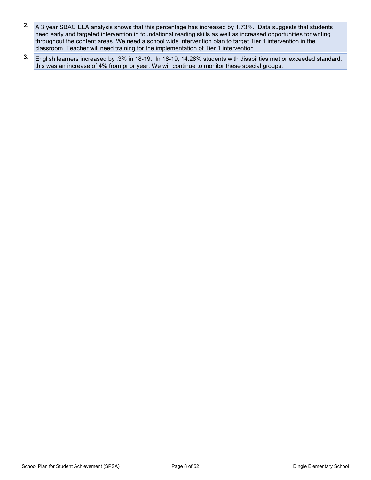- **2.** A 3 year SBAC ELA analysis shows that this percentage has increased by 1.73%. Data suggests that students need early and targeted intervention in foundational reading skills as well as increased opportunities for writing throughout the content areas. We need a school wide intervention plan to target Tier 1 intervention in the classroom. Teacher will need training for the implementation of Tier 1 intervention.
- **3.** English learners increased by .3% in 18-19. In 18-19, 14.28% students with disabilities met or exceeded standard, this was an increase of 4% from prior year. We will continue to monitor these special groups.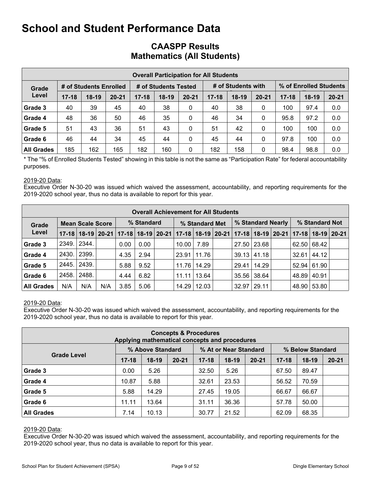### **CAASPP Results Mathematics (All Students)**

|                   | <b>Overall Participation for All Students</b> |         |                      |           |         |                    |           |         |                        |           |         |           |  |  |  |
|-------------------|-----------------------------------------------|---------|----------------------|-----------|---------|--------------------|-----------|---------|------------------------|-----------|---------|-----------|--|--|--|
| Grade             | # of Students Enrolled                        |         | # of Students Tested |           |         | # of Students with |           |         | % of Enrolled Students |           |         |           |  |  |  |
| Level             | $17 - 18$                                     | $18-19$ | $20 - 21$            | $17 - 18$ | $18-19$ | $20 - 21$          | $17 - 18$ | $18-19$ | $20 - 21$              | $17 - 18$ | $18-19$ | $20 - 21$ |  |  |  |
| Grade 3           | 40                                            | 39      | 45                   | 40        | 38      | 0                  | 40        | 38      | 0                      | 100       | 97.4    | 0.0       |  |  |  |
| Grade 4           | 48                                            | 36      | 50                   | 46        | 35      | 0                  | 46        | 34      | 0                      | 95.8      | 97.2    | 0.0       |  |  |  |
| Grade 5           | 51                                            | 43      | 36                   | 51        | 43      | 0                  | 51        | 42      | 0                      | 100       | 100     | 0.0       |  |  |  |
| Grade 6           | 46                                            | 44      | 34                   | 45        | 44      | 0                  | 45        | 44      | 0                      | 97.8      | 100     | 0.0       |  |  |  |
| <b>All Grades</b> | 185                                           | 162     | 165                  | 182       | 160     | 0                  | 182       | 158     | 0                      | 98.4      | 98.8    | 0.0       |  |  |  |

\* The "% of Enrolled Students Tested" showing in this table is not the same as "Participation Rate" for federal accountability purposes.

#### 2019-20 Data:

Executive Order N-30-20 was issued which waived the assessment, accountability, and reporting requirements for the 2019-2020 school year, thus no data is available to report for this year.

|                                  | <b>Overall Achievement for All Students</b> |       |     |            |      |  |                                                               |               |  |                   |               |                         |                |                       |  |
|----------------------------------|---------------------------------------------|-------|-----|------------|------|--|---------------------------------------------------------------|---------------|--|-------------------|---------------|-------------------------|----------------|-----------------------|--|
| <b>Mean Scale Score</b><br>Grade |                                             |       |     | % Standard |      |  | % Standard Met                                                |               |  | % Standard Nearly |               |                         | % Standard Not |                       |  |
| Level                            | $17 - 18$                                   |       |     |            |      |  | 18-19   20-21   17-18   18-19   20-21   17-18   18-19   20-21 |               |  |                   |               | $17-18$   18-19   20-21 |                | 17-18   18-19   20-21 |  |
| Grade 3                          | 2349.                                       | 2344. |     | 0.00       | 0.00 |  | 10.00                                                         | 7.89          |  |                   | 27.50   23.68 |                         | 62.50          | 68.42                 |  |
| Grade 4                          | 2430.                                       | 2399. |     | 4.35       | 2.94 |  | 23.91                                                         | 11.76         |  | 39.13             | 41.18         |                         | 32.61          | 44.12                 |  |
| Grade 5                          | 2445.                                       | 2439. |     | 5.88       | 9.52 |  | 11.76                                                         | 14.29         |  | 29.41             | 14.29         |                         | 52.94          | 61.90                 |  |
| Grade 6                          | 2458.                                       | 2488. |     | 4.44       | 6.82 |  | 11.11                                                         | 13.64         |  |                   | 35.56 38.64   |                         | 48.89          | 40.91                 |  |
| All Grades                       | N/A                                         | N/A   | N/A | 3.85       | 5.06 |  |                                                               | 14.29   12.03 |  | 32.97             | 29.11         |                         | 48.90          | 53.80                 |  |

#### 2019-20 Data:

Executive Order N-30-20 was issued which waived the assessment, accountability, and reporting requirements for the 2019-2020 school year, thus no data is available to report for this year.

| <b>Concepts &amp; Procedures</b><br>Applying mathematical concepts and procedures |           |                  |           |           |                       |           |                  |         |           |  |  |  |  |
|-----------------------------------------------------------------------------------|-----------|------------------|-----------|-----------|-----------------------|-----------|------------------|---------|-----------|--|--|--|--|
|                                                                                   |           | % Above Standard |           |           | % At or Near Standard |           | % Below Standard |         |           |  |  |  |  |
| <b>Grade Level</b>                                                                | $17 - 18$ | $18-19$          | $20 - 21$ | $17 - 18$ | $18-19$               | $20 - 21$ | $17 - 18$        | $18-19$ | $20 - 21$ |  |  |  |  |
| Grade 3                                                                           | 0.00      | 5.26             |           | 32.50     | 5.26                  |           | 67.50            | 89.47   |           |  |  |  |  |
| Grade 4                                                                           | 10.87     | 5.88             |           | 32.61     | 23.53                 |           | 56.52            | 70.59   |           |  |  |  |  |
| Grade 5                                                                           | 5.88      | 14.29            |           | 27.45     | 19.05                 |           | 66.67            | 66.67   |           |  |  |  |  |
| Grade 6                                                                           | 11.11     | 13.64            |           | 31.11     | 36.36                 |           | 57.78            | 50.00   |           |  |  |  |  |
| <b>All Grades</b>                                                                 | 7.14      | 10.13            |           | 30.77     | 21.52                 |           | 62.09            | 68.35   |           |  |  |  |  |

#### 2019-20 Data: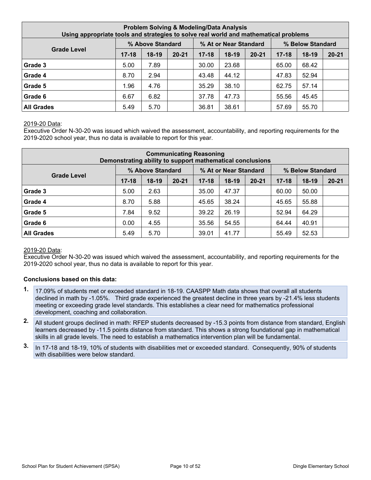| <b>Problem Solving &amp; Modeling/Data Analysis</b><br>Using appropriate tools and strategies to solve real world and mathematical problems |           |         |           |           |         |           |           |         |           |  |  |
|---------------------------------------------------------------------------------------------------------------------------------------------|-----------|---------|-----------|-----------|---------|-----------|-----------|---------|-----------|--|--|
| % At or Near Standard<br>% Above Standard<br>% Below Standard<br><b>Grade Level</b>                                                         |           |         |           |           |         |           |           |         |           |  |  |
|                                                                                                                                             | $17 - 18$ | $18-19$ | $20 - 21$ | $17 - 18$ | $18-19$ | $20 - 21$ | $17 - 18$ | $18-19$ | $20 - 21$ |  |  |
| Grade 3                                                                                                                                     | 5.00      | 7.89    |           | 30.00     | 23.68   |           | 65.00     | 68.42   |           |  |  |
| Grade 4                                                                                                                                     | 8.70      | 2.94    |           | 43.48     | 44.12   |           | 47.83     | 52.94   |           |  |  |
| Grade 5                                                                                                                                     | 1.96      | 4.76    |           | 35.29     | 38.10   |           | 62.75     | 57.14   |           |  |  |
| Grade 6                                                                                                                                     | 6.67      | 6.82    |           | 37.78     | 47.73   |           | 55.56     | 45.45   |           |  |  |
| <b>All Grades</b>                                                                                                                           | 5.49      | 5.70    |           | 36.81     | 38.61   |           | 57.69     | 55.70   |           |  |  |

Executive Order N-30-20 was issued which waived the assessment, accountability, and reporting requirements for the 2019-2020 school year, thus no data is available to report for this year.

| <b>Communicating Reasoning</b><br>Demonstrating ability to support mathematical conclusions |           |         |           |           |         |           |           |         |           |  |  |
|---------------------------------------------------------------------------------------------|-----------|---------|-----------|-----------|---------|-----------|-----------|---------|-----------|--|--|
| % At or Near Standard<br>% Above Standard<br>% Below Standard                               |           |         |           |           |         |           |           |         |           |  |  |
| <b>Grade Level</b>                                                                          | $17 - 18$ | $18-19$ | $20 - 21$ | $17 - 18$ | $18-19$ | $20 - 21$ | $17 - 18$ | $18-19$ | $20 - 21$ |  |  |
| Grade 3                                                                                     | 5.00      | 2.63    |           | 35.00     | 47.37   |           | 60.00     | 50.00   |           |  |  |
| Grade 4                                                                                     | 8.70      | 5.88    |           | 45.65     | 38.24   |           | 45.65     | 55.88   |           |  |  |
| Grade 5                                                                                     | 7.84      | 9.52    |           | 39.22     | 26.19   |           | 52.94     | 64.29   |           |  |  |
| Grade 6                                                                                     | 0.00      | 4.55    |           | 35.56     | 54.55   |           | 64.44     | 40.91   |           |  |  |
| <b>All Grades</b>                                                                           | 5.49      | 5.70    |           | 39.01     | 41.77   |           | 55.49     | 52.53   |           |  |  |

#### 2019-20 Data:

Executive Order N-30-20 was issued which waived the assessment, accountability, and reporting requirements for the 2019-2020 school year, thus no data is available to report for this year.

#### **Conclusions based on this data:**

- **1.** 17.09% of students met or exceeded standard in 18-19. CAASPP Math data shows that overall all students declined in math by -1.05%. Third grade experienced the greatest decline in three years by -21.4% less students meeting or exceeding grade level standards. This establishes a clear need for mathematics professional development, coaching and collaboration.
- **2.** All student groups declined in math: RFEP students decreased by -15.3 points from distance from standard, English learners decreased by -11.5 points distance from standard. This shows a strong foundational gap in mathematical skills in all grade levels. The need to establish a mathematics intervention plan will be fundamental.
- **3.** In 17-18 and 18-19, 10% of students with disabilities met or exceeded standard. Consequently, 90% of students with disabilities were below standard.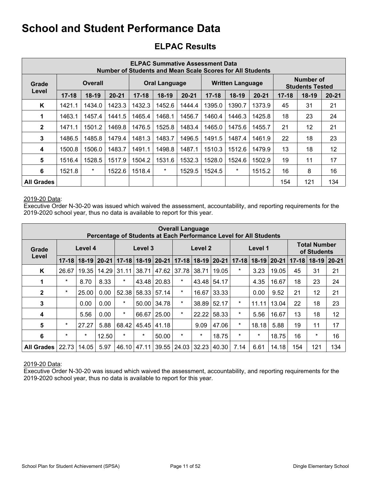## **ELPAC Results**

| <b>ELPAC Summative Assessment Data</b><br>Number of Students and Mean Scale Scores for All Students |           |                |           |           |                      |           |           |                         |           |                                            |         |           |
|-----------------------------------------------------------------------------------------------------|-----------|----------------|-----------|-----------|----------------------|-----------|-----------|-------------------------|-----------|--------------------------------------------|---------|-----------|
| Grade                                                                                               |           | <b>Overall</b> |           |           | <b>Oral Language</b> |           |           | <b>Written Language</b> |           | <b>Number of</b><br><b>Students Tested</b> |         |           |
| Level                                                                                               | $17 - 18$ | $18-19$        | $20 - 21$ | $17 - 18$ | 18-19                | $20 - 21$ | $17 - 18$ | $18-19$                 | $20 - 21$ | $17 - 18$                                  | $18-19$ | $20 - 21$ |
| K                                                                                                   | 1421.1    | 1434.0         | 1423.3    | 1432.3    | 1452.6               | 1444.4    | 1395.0    | 1390.7                  | 1373.9    | 45                                         | 31      | 21        |
| 1                                                                                                   | 1463.1    | 1457.4         | 1441.5    | 1465.4    | 1468.1               | 1456.7    | 1460.4    | 1446.3                  | 1425.8    | 18                                         | 23      | 24        |
| $\mathbf{2}$                                                                                        | 1471.1    | 1501.2         | 1469.8    | 1476.5    | 1525.8               | 1483.4    | 1465.0    | 1475.6                  | 1455.7    | 21                                         | 12      | 21        |
| 3                                                                                                   | 1486.5    | 1485.8         | 1479.4    | 1481.3    | 1483.7               | 1496.5    | 1491.5    | 1487.4                  | 1461.9    | 22                                         | 18      | 23        |
| 4                                                                                                   | 1500.8    | 1506.0         | 1483.7    | 1491.1    | 1498.8               | 1487.1    | 1510.3    | 1512.6                  | 1479.9    | 13                                         | 18      | 12        |
| 5                                                                                                   | 1516.4    | 1528.5         | 1517.9    | 1504.2    | 1531.6               | 1532.3    | 1528.0    | 1524.6                  | 1502.9    | 19                                         | 11      | 17        |
| 6                                                                                                   | 1521.8    | $\star$        | 1522.6    | 1518.4    | *                    | 1529.5    | 1524.5    | $\star$                 | 1515.2    | 16                                         | 8       | 16        |
| <b>All Grades</b>                                                                                   |           |                |           |           |                      |           |           |                         |           | 154                                        | 121     | 134       |

#### 2019-20 Data:

Executive Order N-30-20 was issued which waived the assessment, accountability, and reporting requirements for the 2019-2020 school year, thus no data is available to report for this year.

|                   | <b>Overall Language</b><br>Percentage of Students at Each Performance Level for All Students |         |             |             |           |       |           |               |       |           |         |           |           |                                    |           |  |
|-------------------|----------------------------------------------------------------------------------------------|---------|-------------|-------------|-----------|-------|-----------|---------------|-------|-----------|---------|-----------|-----------|------------------------------------|-----------|--|
| Grade             |                                                                                              | Level 4 |             |             | Level 3   |       |           | Level 2       |       |           | Level 1 |           |           | <b>Total Number</b><br>of Students |           |  |
| Level             | $17 - 18$                                                                                    |         | 18-19 20-21 | $17 - 18$   | $18 - 19$ | 20-21 | $17 - 18$ | $18-19$ 20-21 |       | $17 - 18$ | $18-19$ | $20 - 21$ | $17 - 18$ | $18-19$                            | $20 - 21$ |  |
| K                 | 26.67                                                                                        | 19.35   | 14.29       | 31.11       | 38.71     | 47.62 | 37.78     | 38.71         | 19.05 | $\star$   | 3.23    | 19.05     | 45        | 31                                 | 21        |  |
| 1                 | *                                                                                            | 8.70    | 8.33        | $\star$     | 43.48     | 20.83 | $\star$   | 43.48         | 54.17 |           | 4.35    | 16.67     | 18        | 23                                 | 24        |  |
| $\mathbf{2}$      | $\star$                                                                                      | 25.00   | 0.00        | 52.38       | 58.33     | 57.14 | $\star$   | 16.67         | 33.33 |           | 0.00    | 9.52      | 21        | 12                                 | 21        |  |
| 3                 |                                                                                              | 0.00    | 0.00        | $\star$     | 50.00     | 34.78 | $\star$   | 38.89         | 52.17 | $\star$   | 11.11   | 13.04     | 22        | 18                                 | 23        |  |
| 4                 |                                                                                              | 5.56    | 0.00        | $\star$     | 66.67     | 25.00 | $\star$   | 22.22         | 58.33 | $\star$   | 5.56    | 16.67     | 13        | 18                                 | 12        |  |
| 5                 | $\star$                                                                                      | 27.27   | 5.88        | 68.42       | 45.45     | 41.18 |           | 9.09          | 47.06 | $\star$   | 18.18   | 5.88      | 19        | 11                                 | 17        |  |
| 6                 | $\star$                                                                                      | $\star$ | 12.50       | $\star$     | $\star$   | 50.00 | $\star$   | $\star$       | 18.75 | $\star$   | $\star$ | 18.75     | 16        | $\star$                            | 16        |  |
| <b>All Grades</b> | 22.73                                                                                        | 14.05   | 5.97        | 46.10 47.11 |           | 39.55 | 24.03     | 32.23         | 40.30 | 7.14      | 6.61    | 14.18     | 154       | 121                                | 134       |  |

2019-20 Data: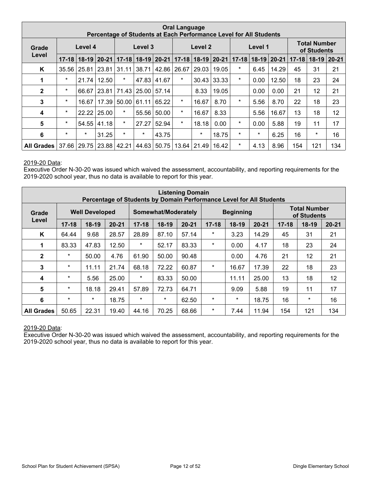|                   | <b>Oral Language</b><br>Percentage of Students at Each Performance Level for All Students |                    |                 |             |           |           |           |           |             |           |                 |                                    |           |         |           |
|-------------------|-------------------------------------------------------------------------------------------|--------------------|-----------------|-------------|-----------|-----------|-----------|-----------|-------------|-----------|-----------------|------------------------------------|-----------|---------|-----------|
| Grade             |                                                                                           | Level 4<br>Level 3 |                 |             |           | Level 2   |           |           | Level 1     |           |                 | <b>Total Number</b><br>of Students |           |         |           |
| Level             | $17 - 18$                                                                                 |                    | $18-19$   20-21 | $17 - 18$   | $18 - 19$ | $20 - 21$ | $17 - 18$ | $18 - 19$ | $ 20 - 21 $ | $17 - 18$ | $18-19$   20-21 |                                    | $17 - 18$ | $18-19$ | $ 20-21 $ |
| K                 | 35.56                                                                                     | 25.81              | 23.81           | 31.11       | 38.71     | 42.86     | 26.67     | 29.03     | 19.05       | $\star$   | 6.45            | 14.29                              | 45        | 31      | 21        |
| 1                 | $\star$                                                                                   | 21.74              | 12.50           | $\star$     | 47.83     | 41.67     | $\star$   | 30.43     | 33.33       | $\star$   | 0.00            | 12.50                              | 18        | 23      | 24        |
| $\mathbf{2}$      | $\star$                                                                                   | 66.67              | 23.81           | 71.43       | 25.00     | 57.14     |           | 8.33      | 19.05       |           | 0.00            | 0.00                               | 21        | 12      | 21        |
| 3                 | $\star$                                                                                   | 16.67              | 17.39           | 50.00       | 61.11     | 65.22     | $\star$   | 16.67     | 8.70        | $\star$   | 5.56            | 8.70                               | 22        | 18      | 23        |
| 4                 | $\star$                                                                                   | 22.22              | 25.00           | $\star$     | 55.56     | 50.00     | $\star$   | 16.67     | 8.33        |           | 5.56            | 16.67                              | 13        | 18      | 12        |
| 5                 | $\star$                                                                                   | 54.55              | 41.18           | $\star$     | 27.27     | 52.94     | $\star$   | 18.18     | 0.00        | $\star$   | 0.00            | 5.88                               | 19        | 11      | 17        |
| 6                 | $\star$                                                                                   | $\star$            | 31.25           | $\star$     | $\star$   | 43.75     |           | $\star$   | 18.75       | $\star$   | $\star$         | 6.25                               | 16        | $\star$ | 16        |
| <b>All Grades</b> | 37.66                                                                                     | 29.75              |                 | 23.88 42.21 | 44.63     | 50.75     | 13.64     | 21.49     | 16.42       | $\star$   | 4.13            | 8.96                               | 154       | 121     | 134       |

Executive Order N-30-20 was issued which waived the assessment, accountability, and reporting requirements for the 2019-2020 school year, thus no data is available to report for this year.

| <b>Listening Domain</b><br>Percentage of Students by Domain Performance Level for All Students |           |                       |           |           |                                         |           |           |         |           |           |                                    |           |
|------------------------------------------------------------------------------------------------|-----------|-----------------------|-----------|-----------|-----------------------------------------|-----------|-----------|---------|-----------|-----------|------------------------------------|-----------|
| Grade                                                                                          |           | <b>Well Developed</b> |           |           | <b>Beginning</b><br>Somewhat/Moderately |           |           |         |           |           | <b>Total Number</b><br>of Students |           |
| Level                                                                                          | $17 - 18$ | 18-19                 | $20 - 21$ | $17 - 18$ | $18-19$                                 | $20 - 21$ | $17 - 18$ | $18-19$ | $20 - 21$ | $17 - 18$ | $18-19$                            | $20 - 21$ |
| K                                                                                              | 64.44     | 9.68                  | 28.57     | 28.89     | 87.10                                   | 57.14     | $\star$   | 3.23    | 14.29     | 45        | 31                                 | 21        |
| 1                                                                                              | 83.33     | 47.83                 | 12.50     | $\star$   | 52.17                                   | 83.33     | $^\star$  | 0.00    | 4.17      | 18        | 23                                 | 24        |
| $\mathbf{2}$                                                                                   | $\star$   | 50.00                 | 4.76      | 61.90     | 50.00                                   | 90.48     |           | 0.00    | 4.76      | 21        | 12                                 | 21        |
| 3                                                                                              | $\star$   | 11.11                 | 21.74     | 68.18     | 72.22                                   | 60.87     | $\star$   | 16.67   | 17.39     | 22        | 18                                 | 23        |
| 4                                                                                              | $\star$   | 5.56                  | 25.00     | $\star$   | 83.33                                   | 50.00     |           | 11.11   | 25.00     | 13        | 18                                 | 12        |
| 5                                                                                              | $\star$   | 18.18                 | 29.41     | 57.89     | 72.73                                   | 64.71     |           | 9.09    | 5.88      | 19        | 11                                 | 17        |
| $6\phantom{1}$                                                                                 | $\star$   | $\star$               | 18.75     | $\star$   | $\star$                                 | 62.50     | $\star$   | $\ast$  | 18.75     | 16        | $\ast$                             | 16        |
| <b>All Grades</b>                                                                              | 50.65     | 22.31                 | 19.40     | 44.16     | 70.25                                   | 68.66     | $\ast$    | 7.44    | 11.94     | 154       | 121                                | 134       |

#### 2019-20 Data: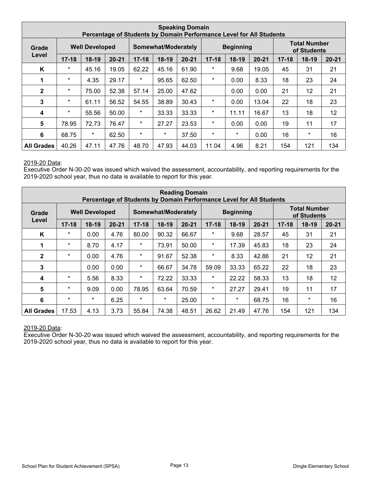| <b>Speaking Domain</b><br>Percentage of Students by Domain Performance Level for All Students |           |                       |           |           |                     |           |           |                  |           |                                    |         |           |
|-----------------------------------------------------------------------------------------------|-----------|-----------------------|-----------|-----------|---------------------|-----------|-----------|------------------|-----------|------------------------------------|---------|-----------|
| Grade                                                                                         |           | <b>Well Developed</b> |           |           | Somewhat/Moderately |           |           | <b>Beginning</b> |           | <b>Total Number</b><br>of Students |         |           |
| Level                                                                                         | $17 - 18$ | $18-19$               | $20 - 21$ | $17 - 18$ | 18-19               | $20 - 21$ | $17 - 18$ | $18-19$          | $20 - 21$ | $17 - 18$                          | $18-19$ | $20 - 21$ |
| K                                                                                             | $\star$   | 45.16                 | 19.05     | 62.22     | 45.16               | 61.90     | $\star$   | 9.68             | 19.05     | 45                                 | 31      | 21        |
| 1                                                                                             | $\star$   | 4.35                  | 29.17     | *         | 95.65               | 62.50     | $\star$   | 0.00             | 8.33      | 18                                 | 23      | 24        |
| $\mathbf{2}$                                                                                  | $\star$   | 75.00                 | 52.38     | 57.14     | 25.00               | 47.62     |           | 0.00             | 0.00      | 21                                 | 12      | 21        |
| 3                                                                                             | $\star$   | 61.11                 | 56.52     | 54.55     | 38.89               | 30.43     | $\star$   | 0.00             | 13.04     | 22                                 | 18      | 23        |
| 4                                                                                             | $\star$   | 55.56                 | 50.00     | *         | 33.33               | 33.33     | $\star$   | 11.11            | 16.67     | 13                                 | 18      | 12        |
| $5\phantom{1}$                                                                                | 78.95     | 72.73                 | 76.47     | $\star$   | 27.27               | 23.53     | $\ast$    | 0.00             | 0.00      | 19                                 | 11      | 17        |
| 6                                                                                             | 68.75     | $\star$               | 62.50     | $\star$   | $\star$             | 37.50     | $\star$   | $\ast$           | 0.00      | 16                                 | $\star$ | 16        |
| <b>All Grades</b>                                                                             | 40.26     | 47.11                 | 47.76     | 48.70     | 47.93               | 44.03     | 11.04     | 4.96             | 8.21      | 154                                | 121     | 134       |

Executive Order N-30-20 was issued which waived the assessment, accountability, and reporting requirements for the 2019-2020 school year, thus no data is available to report for this year.

| <b>Reading Domain</b><br>Percentage of Students by Domain Performance Level for All Students |           |                       |           |           |                     |           |           |                  |           |                                    |         |           |
|----------------------------------------------------------------------------------------------|-----------|-----------------------|-----------|-----------|---------------------|-----------|-----------|------------------|-----------|------------------------------------|---------|-----------|
| Grade                                                                                        |           | <b>Well Developed</b> |           |           | Somewhat/Moderately |           |           | <b>Beginning</b> |           | <b>Total Number</b><br>of Students |         |           |
| Level                                                                                        | $17 - 18$ | 18-19                 | $20 - 21$ | $17 - 18$ | 18-19               | $20 - 21$ | $17 - 18$ | $18-19$          | $20 - 21$ | $17 - 18$                          | $18-19$ | $20 - 21$ |
| K                                                                                            | $\star$   | 0.00                  | 4.76      | 80.00     | 90.32               | 66.67     | $\ast$    | 9.68             | 28.57     | 45                                 | 31      | 21        |
| 1                                                                                            | $\star$   | 8.70                  | 4.17      | $\star$   | 73.91               | 50.00     | $\star$   | 17.39            | 45.83     | 18                                 | 23      | 24        |
| $\mathbf{2}$                                                                                 | $\star$   | 0.00                  | 4.76      | $\star$   | 91.67               | 52.38     | $\star$   | 8.33             | 42.86     | 21                                 | 12      | 21        |
| 3                                                                                            |           | 0.00                  | 0.00      | $\star$   | 66.67               | 34.78     | 59.09     | 33.33            | 65.22     | 22                                 | 18      | 23        |
| 4                                                                                            | $\star$   | 5.56                  | 8.33      | $\star$   | 72.22               | 33.33     | $\ast$    | 22.22            | 58.33     | 13                                 | 18      | 12        |
| $5\phantom{1}$                                                                               | $\star$   | 9.09                  | 0.00      | 78.95     | 63.64               | 70.59     | $\star$   | 27.27            | 29.41     | 19                                 | 11      | 17        |
| $6\phantom{1}$                                                                               | $\star$   | $\star$               | 6.25      | $\star$   | $\star$             | 25.00     | $\star$   | $\star$          | 68.75     | 16                                 | $\ast$  | 16        |
| <b>All Grades</b>                                                                            | 17.53     | 4.13                  | 3.73      | 55.84     | 74.38               | 48.51     | 26.62     | 21.49            | 47.76     | 154                                | 121     | 134       |

#### 2019-20 Data: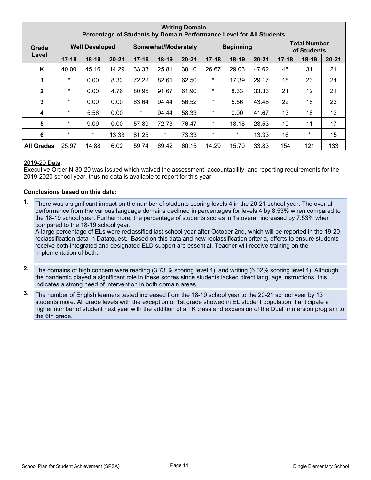| <b>Writing Domain</b><br>Percentage of Students by Domain Performance Level for All Students |           |                       |           |           |                                         |           |           |         |           |           |                                    |           |  |  |
|----------------------------------------------------------------------------------------------|-----------|-----------------------|-----------|-----------|-----------------------------------------|-----------|-----------|---------|-----------|-----------|------------------------------------|-----------|--|--|
| Grade                                                                                        |           | <b>Well Developed</b> |           |           | <b>Beginning</b><br>Somewhat/Moderately |           |           |         |           |           | <b>Total Number</b><br>of Students |           |  |  |
| Level                                                                                        | $17 - 18$ | $18-19$               | $20 - 21$ | $17 - 18$ | $18-19$                                 | $20 - 21$ | $17 - 18$ | $18-19$ | $20 - 21$ | $17 - 18$ | $18-19$                            | $20 - 21$ |  |  |
| K                                                                                            | 40.00     | 45.16                 | 14.29     | 33.33     | 25.81                                   | 38.10     | 26.67     | 29.03   | 47.62     | 45        | 31                                 | 21        |  |  |
| 1                                                                                            | $\star$   | 0.00                  | 8.33      | 72.22     | 82.61                                   | 62.50     | $\star$   | 17.39   | 29.17     | 18        | 23                                 | 24        |  |  |
| $\mathbf{2}$                                                                                 | $\star$   | 0.00                  | 4.76      | 80.95     | 91.67                                   | 61.90     | $^\star$  | 8.33    | 33.33     | 21        | 12                                 | 21        |  |  |
| 3                                                                                            | $\star$   | 0.00                  | 0.00      | 63.64     | 94.44                                   | 56.52     | $\star$   | 5.56    | 43.48     | 22        | 18                                 | 23        |  |  |
| 4                                                                                            | $\star$   | 5.56                  | 0.00      | $\star$   | 94.44                                   | 58.33     | $\star$   | 0.00    | 41.67     | 13        | 18                                 | 12        |  |  |
| 5                                                                                            | $\star$   | 9.09                  | 0.00      | 57.89     | 72.73                                   | 76.47     | $\ast$    | 18.18   | 23.53     | 19        | 11                                 | 17        |  |  |
| 6                                                                                            | $\star$   | $\star$               | 13.33     | 81.25     | $\star$                                 | 73.33     | $\star$   | $\ast$  | 13.33     | 16        | $\star$                            | 15        |  |  |
| <b>All Grades</b>                                                                            | 25.97     | 14.88                 | 6.02      | 59.74     | 69.42                                   | 60.15     | 14.29     | 15.70   | 33.83     | 154       | 121                                | 133       |  |  |

Executive Order N-30-20 was issued which waived the assessment, accountability, and reporting requirements for the 2019-2020 school year, thus no data is available to report for this year.

#### **Conclusions based on this data:**

**1.** There was a significant impact on the number of students scoring levels 4 in the 20-21 school year. The over all performance from the various language domains declined in percentages for levels 4 by 8.53% when compared to the 18-19 school year. Furthermore, the percentage of students scores in 1s overall increased by 7.53% when compared to the 18-19 school year.

A large percentage of ELs were reclassified last school year after October 2nd, which will be reported in the 19-20 reclassification data in Datatquest. Based on this data and new reclassification criteria, efforts to ensure students receive both integrated and designated ELD support are essential. Teacher will receive training on the implementation of both.

- **2.** The domains of high concern were reading (3.73 % scoring level 4) and writing (6.02% scoring level 4). Although, the pandemic played a significant role in these scores since students lacked direct language instructions, this indicates a strong need of intervention in both domain areas.
- **3.** The number of English learners tested increased from the 18-19 school year to the 20-21 school year by 13 students more. All grade levels with the exception of 1st grade showed in EL student population. I anticipate a higher number of student next year with the addition of a TK class and expansion of the Dual Immersion program to the 6th grade.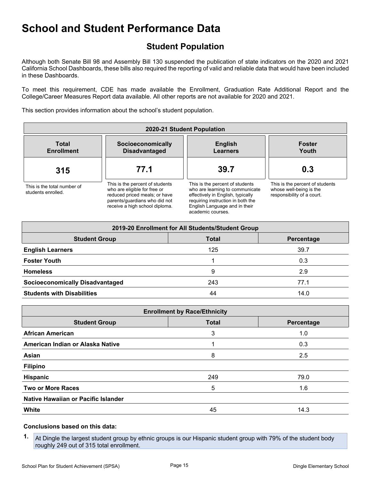## **Student Population**

Although both Senate Bill 98 and Assembly Bill 130 suspended the publication of state indicators on the 2020 and 2021 California School Dashboards, these bills also required the reporting of valid and reliable data that would have been included in these Dashboards.

To meet this requirement, CDE has made available the Enrollment, Graduation Rate Additional Report and the College/Career Measures Report data available. All other reports are not available for 2020 and 2021.

This section provides information about the school's student population.

| 2020-21 Student Population                        |                                                                                                                                                                     |                                                                                                                                                                                                    |                                                                                          |  |  |  |  |  |
|---------------------------------------------------|---------------------------------------------------------------------------------------------------------------------------------------------------------------------|----------------------------------------------------------------------------------------------------------------------------------------------------------------------------------------------------|------------------------------------------------------------------------------------------|--|--|--|--|--|
| <b>Total</b><br><b>Enrollment</b>                 | Socioeconomically<br><b>Disadvantaged</b>                                                                                                                           | <b>English</b><br>Learners                                                                                                                                                                         | <b>Foster</b><br>Youth                                                                   |  |  |  |  |  |
| 315                                               | 77.1                                                                                                                                                                | 39.7                                                                                                                                                                                               | 0.3                                                                                      |  |  |  |  |  |
| This is the total number of<br>students enrolled. | This is the percent of students<br>who are eligible for free or<br>reduced priced meals; or have<br>parents/quardians who did not<br>receive a high school diploma. | This is the percent of students<br>who are learning to communicate<br>effectively in English, typically<br>requiring instruction in both the<br>English Language and in their<br>academic courses. | This is the percent of students<br>whose well-being is the<br>responsibility of a court. |  |  |  |  |  |

| 2019-20 Enrollment for All Students/Student Group |              |            |  |  |  |  |  |  |  |
|---------------------------------------------------|--------------|------------|--|--|--|--|--|--|--|
| <b>Student Group</b>                              | <b>Total</b> | Percentage |  |  |  |  |  |  |  |
| <b>English Learners</b>                           | 125          | 39.7       |  |  |  |  |  |  |  |
| <b>Foster Youth</b>                               |              | 0.3        |  |  |  |  |  |  |  |
| <b>Homeless</b>                                   | 9            | 2.9        |  |  |  |  |  |  |  |
| <b>Socioeconomically Disadvantaged</b>            | 243          | 77.1       |  |  |  |  |  |  |  |
| <b>Students with Disabilities</b>                 | 44           | 14.0       |  |  |  |  |  |  |  |

| <b>Enrollment by Race/Ethnicity</b> |              |                   |  |  |  |  |  |  |
|-------------------------------------|--------------|-------------------|--|--|--|--|--|--|
| <b>Student Group</b>                | <b>Total</b> | <b>Percentage</b> |  |  |  |  |  |  |
| <b>African American</b>             | 3            | 1.0               |  |  |  |  |  |  |
| American Indian or Alaska Native    |              | 0.3               |  |  |  |  |  |  |
| Asian                               | 8            | 2.5               |  |  |  |  |  |  |
| <b>Filipino</b>                     |              |                   |  |  |  |  |  |  |
| Hispanic                            | 249          | 79.0              |  |  |  |  |  |  |
| <b>Two or More Races</b>            | 5            | 1.6               |  |  |  |  |  |  |
| Native Hawaiian or Pacific Islander |              |                   |  |  |  |  |  |  |
| <b>White</b>                        | 45           | 14.3              |  |  |  |  |  |  |

#### **Conclusions based on this data:**

**1.** At Dingle the largest student group by ethnic groups is our Hispanic student group with 79% of the student body roughly 249 out of 315 total enrollment.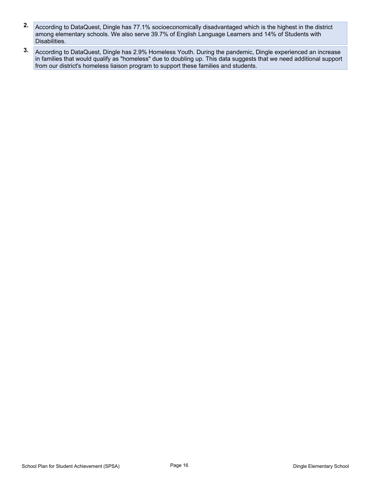- **2.** According to DataQuest, Dingle has 77.1% socioeconomically disadvantaged which is the highest in the district among elementary schools. We also serve 39.7% of English Language Learners and 14% of Students with Disabilities.
- **3.** According to DataQuest, Dingle has 2.9% Homeless Youth. During the pandemic, Dingle experienced an increase in families that would qualify as "homeless" due to doubling up. This data suggests that we need additional support from our district's homeless liaison program to support these families and students.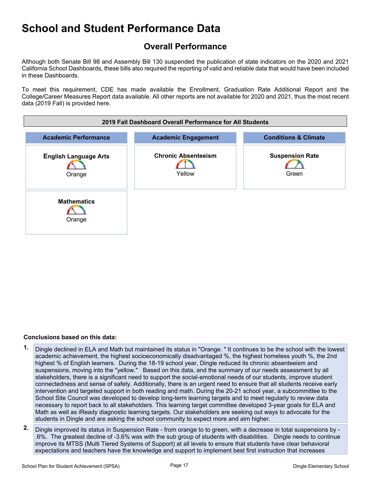## **Overall Performance**

Although both Senate Bill 98 and Assembly Bill 130 suspended the publication of state indicators on the 2020 and 2021 California School Dashboards, these bills also required the reporting of valid and reliable data that would have been included in these Dashboards.

To meet this requirement, CDE has made available the Enrollment, Graduation Rate Additional Report and the College/Career Measures Report data available. All other reports are not available for 2020 and 2021, thus the most recent data (2019 Fall) is provided here.



#### **Conclusions based on this data:**

- **1.** Dingle declined in ELA and Math but maintained its status in "Orange. " It continues to be the school with the lowest academic achievement, the highest socioeconomically disadvantaged %, the highest homeless youth %, the 2nd highest % of English learners. During the 18-19 school year, Dingle reduced its chronic absenteeism and suspensions, moving into the "yellow." Based on this data, and the summary of our needs assessment by all stakeholders, there is a significant need to support the social-emotional needs of our students, improve student connectedness and sense of safety. Additionally, there is an urgent need to ensure that all students receive early intervention and targeted support in both reading and math. During the 20-21 school year, a subcommittee to the School Site Council was developed to develop long-term learning targets and to meet regularly to review data necessary to report back to all stakeholders. This learning target committee developed 3-year goals for ELA and Math as well as iReady diagnostic learning targets. Our stakeholders are seeking out ways to advocate for the students in Dingle and are asking the school community to expect more and aim higher.
- **2.** Dingle improved its status in Suspension Rate from orange to to green, with a decrease in total suspensions by .6%. The greatest decline of -3.6% was with the sub group of students with disabilities. Dingle needs to continue improve its MTSS (Multi Tiered Systems of Support) at all levels to ensure that students have clear behavioral expectations and teachers have the knowledge and support to implement best first instruction that increases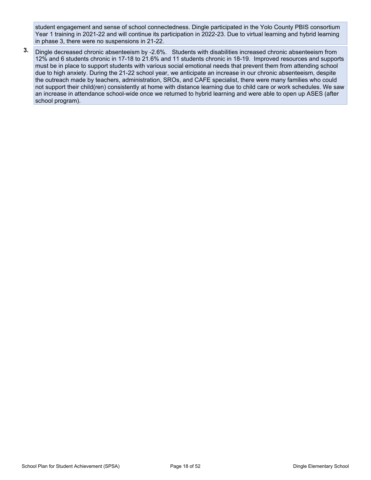student engagement and sense of school connectedness. Dingle participated in the Yolo County PBIS consortium Year 1 training in 2021-22 and will continue its participation in 2022-23. Due to virtual learning and hybrid learning in phase 3, there were no suspensions in 21-22.

**3.** Dingle decreased chronic absenteeism by -2.6%. Students with disabilities increased chronic absenteeism from 12% and 6 students chronic in 17-18 to 21.6% and 11 students chronic in 18-19. Improved resources and supports must be in place to support students with various social emotional needs that prevent them from attending school due to high anxiety. During the 21-22 school year, we anticipate an increase in our chronic absenteeism, despite the outreach made by teachers, administration, SROs, and CAFE specialist, there were many families who could not support their child(ren) consistently at home with distance learning due to child care or work schedules. We saw an increase in attendance school-wide once we returned to hybrid learning and were able to open up ASES (after school program).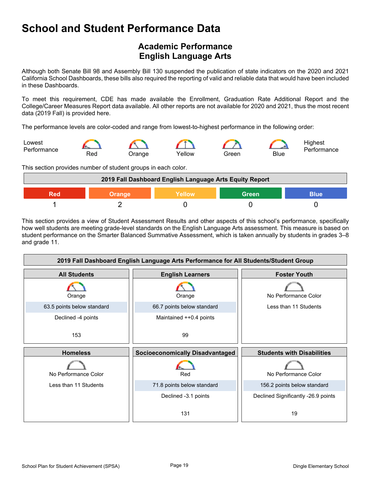## **Academic Performance English Language Arts**

Although both Senate Bill 98 and Assembly Bill 130 suspended the publication of state indicators on the 2020 and 2021 California School Dashboards, these bills also required the reporting of valid and reliable data that would have been included in these Dashboards.

To meet this requirement, CDE has made available the Enrollment, Graduation Rate Additional Report and the College/Career Measures Report data available. All other reports are not available for 2020 and 2021, thus the most recent data (2019 Fall) is provided here.

The performance levels are color-coded and range from lowest-to-highest performance in the following order:



This section provides number of student groups in each color.

| 2019 Fall Dashboard English Language Arts Equity Report |  |  |  |  |  |
|---------------------------------------------------------|--|--|--|--|--|
| Green<br><b>Blue</b><br>Yellow<br>Orange                |  |  |  |  |  |
|                                                         |  |  |  |  |  |

This section provides a view of Student Assessment Results and other aspects of this school's performance, specifically how well students are meeting grade-level standards on the English Language Arts assessment. This measure is based on student performance on the Smarter Balanced Summative Assessment, which is taken annually by students in grades 3–8 and grade 11.

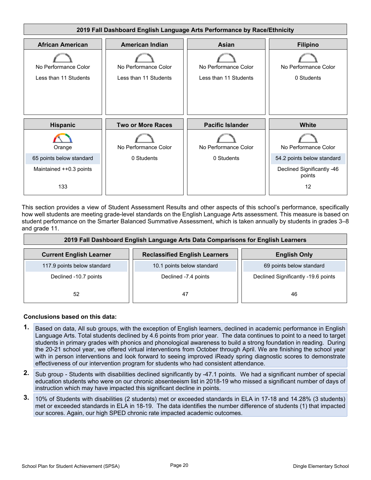

This section provides a view of Student Assessment Results and other aspects of this school's performance, specifically how well students are meeting grade-level standards on the English Language Arts assessment. This measure is based on student performance on the Smarter Balanced Summative Assessment, which is taken annually by students in grades 3–8 and grade 11.

| 2019 Fall Dashboard English Language Arts Data Comparisons for English Learners |                            |                                     |  |  |
|---------------------------------------------------------------------------------|----------------------------|-------------------------------------|--|--|
| <b>Current English Learner</b>                                                  | <b>English Only</b>        |                                     |  |  |
| 117.9 points below standard                                                     | 10.1 points below standard | 69 points below standard            |  |  |
| Declined -10.7 points                                                           | Declined -7.4 points       | Declined Significantly -19.6 points |  |  |
| 52                                                                              | 47                         | 46                                  |  |  |

#### **Conclusions based on this data:**

- **1.** Based on data, All sub groups, with the exception of English learners, declined in academic performance in English Language Arts. Total students declined by 4.6 points from prior year. The data continues to point to a need to target students in primary grades with phonics and phonological awareness to build a strong foundation in reading. During the 20-21 school year, we offered virtual interventions from October through April. We are finishing the school year with in person interventions and look forward to seeing improved iReady spring diagnostic scores to demonstrate effectiveness of our intervention program for students who had consistent attendance.
- **2.** Sub group Students with disabilities declined significantly by -47.1 points. We had a significant number of special education students who were on our chronic absenteeism list in 2018-19 who missed a significant number of days of instruction which may have impacted this significant decline in points.
- **3.** 10% of Students with disabilities (2 students) met or exceeded standards in ELA in 17-18 and 14.28% (3 students) met or exceeded standards in ELA in 18-19. The data identifies the number difference of students (1) that impacted our scores. Again, our high SPED chronic rate impacted academic outcomes.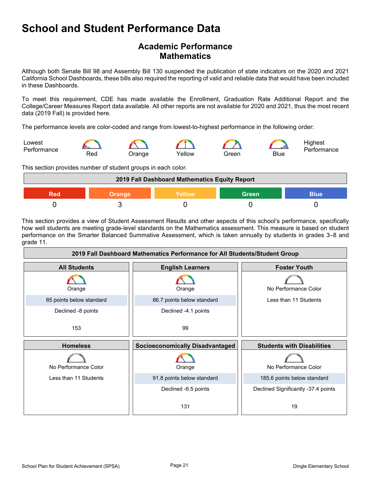### **Academic Performance Mathematics**

Although both Senate Bill 98 and Assembly Bill 130 suspended the publication of state indicators on the 2020 and 2021 California School Dashboards, these bills also required the reporting of valid and reliable data that would have been included in these Dashboards.

To meet this requirement, CDE has made available the Enrollment, Graduation Rate Additional Report and the College/Career Measures Report data available. All other reports are not available for 2020 and 2021, thus the most recent data (2019 Fall) is provided here.

The performance levels are color-coded and range from lowest-to-highest performance in the following order:



This section provides number of student groups in each color.



This section provides a view of Student Assessment Results and other aspects of this school's performance, specifically how well students are meeting grade-level standards on the Mathematics assessment. This measure is based on student performance on the Smarter Balanced Summative Assessment, which is taken annually by students in grades 3–8 and grade 11.

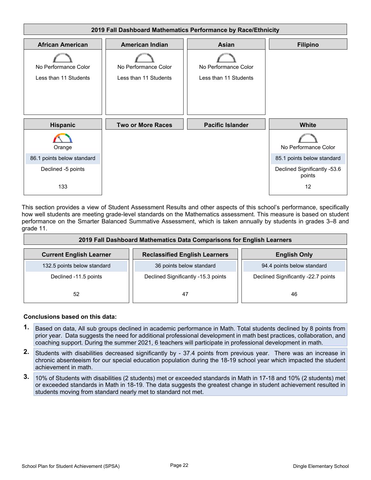

This section provides a view of Student Assessment Results and other aspects of this school's performance, specifically how well students are meeting grade-level standards on the Mathematics assessment. This measure is based on student performance on the Smarter Balanced Summative Assessment, which is taken annually by students in grades 3–8 and grade 11.

| 2019 Fall Dashboard Mathematics Data Comparisons for English Learners                         |                                     |                                     |  |  |
|-----------------------------------------------------------------------------------------------|-------------------------------------|-------------------------------------|--|--|
| <b>Reclassified English Learners</b><br><b>Current English Learner</b><br><b>English Only</b> |                                     |                                     |  |  |
| 132.5 points below standard                                                                   | 36 points below standard            | 94.4 points below standard          |  |  |
| Declined -11.5 points                                                                         | Declined Significantly -15.3 points | Declined Significantly -22.7 points |  |  |
| 52                                                                                            | 47                                  | 46                                  |  |  |

#### **Conclusions based on this data:**

- **1.** Based on data, All sub groups declined in academic performance in Math. Total students declined by 8 points from prior year. Data suggests the need for additional professional development in math best practices, collaboration, and coaching support. During the summer 2021, 6 teachers will participate in professional development in math.
- **2.** Students with disabilities decreased significantly by 37.4 points from previous year. There was an increase in chronic absenteeism for our special education population during the 18-19 school year which impacted the student achievement in math.
- **3.** 10% of Students with disabilities (2 students) met or exceeded standards in Math in 17-18 and 10% (2 students) met or exceeded standards in Math in 18-19. The data suggests the greatest change in student achievement resulted in students moving from standard nearly met to standard not met.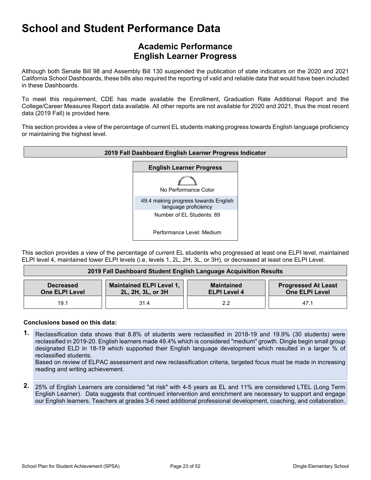### **Academic Performance English Learner Progress**

Although both Senate Bill 98 and Assembly Bill 130 suspended the publication of state indicators on the 2020 and 2021 California School Dashboards, these bills also required the reporting of valid and reliable data that would have been included in these Dashboards.

To meet this requirement, CDE has made available the Enrollment, Graduation Rate Additional Report and the College/Career Measures Report data available. All other reports are not available for 2020 and 2021, thus the most recent data (2019 Fall) is provided here.

This section provides a view of the percentage of current EL students making progress towards English language proficiency or maintaining the highest level.



This section provides a view of the percentage of current EL students who progressed at least one ELPI level, maintained ELPI level 4, maintained lower ELPI levels (i.e, levels 1, 2L, 2H, 3L, or 3H), or decreased at least one ELPI Level.

| 2019 Fall Dashboard Student English Language Acquisition Results                                                                                                                                     |      |     |      |  |
|------------------------------------------------------------------------------------------------------------------------------------------------------------------------------------------------------|------|-----|------|--|
| <b>Maintained ELPI Level 1,</b><br><b>Progressed At Least</b><br><b>Maintained</b><br><b>Decreased</b><br><b>One ELPI Level</b><br>2L, 2H, 3L, or 3H<br><b>One ELPI Level</b><br><b>ELPI Level 4</b> |      |     |      |  |
| 19.1                                                                                                                                                                                                 | 31.4 | 2.2 | 47.1 |  |

#### **Conclusions based on this data:**

**1.** Reclassification data shows that 8.8% of students were reclassified in 2018-19 and 19.9% (30 students) were reclassified in 2019-20. English learners made 49.4% which is considered "medium" growth. Dingle begin small group designated ELD in 18-19 which supported their English language development which resulted in a larger % of reclassified students.

Based on review of ELPAC assessment and new reclassification criteria, targeted focus must be made in increasing reading and writing achievement.

**2.** 25% of English Learners are considered "at risk" with 4-5 years as EL and 11% are considered LTEL (Long Term English Learner). Data suggests that continued intervention and enrichment are necessary to support and engage our English learners. Teachers at grades 3-6 need additional professional development, coaching, and collaboration.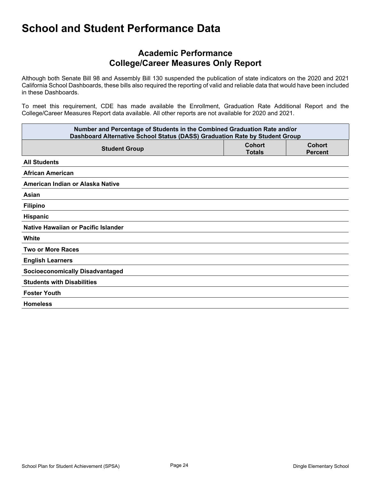### **Academic Performance College/Career Measures Only Report**

Although both Senate Bill 98 and Assembly Bill 130 suspended the publication of state indicators on the 2020 and 2021 California School Dashboards, these bills also required the reporting of valid and reliable data that would have been included in these Dashboards.

To meet this requirement, CDE has made available the Enrollment, Graduation Rate Additional Report and the College/Career Measures Report data available. All other reports are not available for 2020 and 2021.

| Number and Percentage of Students in the Combined Graduation Rate and/or<br>Dashboard Alternative School Status (DASS) Graduation Rate by Student Group |  |  |  |  |  |
|---------------------------------------------------------------------------------------------------------------------------------------------------------|--|--|--|--|--|
| <b>Cohort</b><br><b>Cohort</b><br><b>Student Group</b><br><b>Totals</b><br><b>Percent</b>                                                               |  |  |  |  |  |
| <b>All Students</b>                                                                                                                                     |  |  |  |  |  |
| <b>African American</b>                                                                                                                                 |  |  |  |  |  |
| American Indian or Alaska Native                                                                                                                        |  |  |  |  |  |
| Asian                                                                                                                                                   |  |  |  |  |  |
| <b>Filipino</b>                                                                                                                                         |  |  |  |  |  |
| Hispanic                                                                                                                                                |  |  |  |  |  |
| Native Hawaiian or Pacific Islander                                                                                                                     |  |  |  |  |  |
| White                                                                                                                                                   |  |  |  |  |  |
| <b>Two or More Races</b>                                                                                                                                |  |  |  |  |  |
| <b>English Learners</b>                                                                                                                                 |  |  |  |  |  |
| <b>Socioeconomically Disadvantaged</b>                                                                                                                  |  |  |  |  |  |
| <b>Students with Disabilities</b>                                                                                                                       |  |  |  |  |  |
| <b>Foster Youth</b>                                                                                                                                     |  |  |  |  |  |
| <b>Homeless</b>                                                                                                                                         |  |  |  |  |  |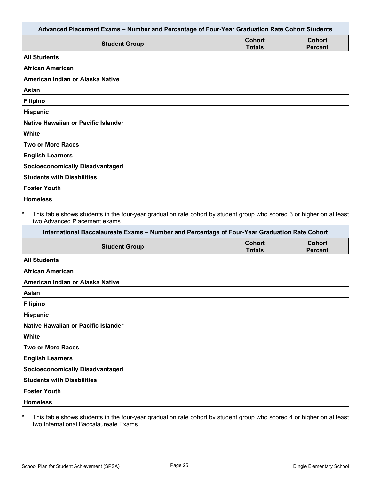| Advanced Placement Exams - Number and Percentage of Four-Year Graduation Rate Cohort Students                                                                                                                                                           |                                |                                 |
|---------------------------------------------------------------------------------------------------------------------------------------------------------------------------------------------------------------------------------------------------------|--------------------------------|---------------------------------|
| <b>Student Group</b>                                                                                                                                                                                                                                    | <b>Cohort</b><br><b>Totals</b> | <b>Cohort</b><br><b>Percent</b> |
| <b>All Students</b>                                                                                                                                                                                                                                     |                                |                                 |
| <b>African American</b>                                                                                                                                                                                                                                 |                                |                                 |
| American Indian or Alaska Native                                                                                                                                                                                                                        |                                |                                 |
| Asian                                                                                                                                                                                                                                                   |                                |                                 |
| <b>Filipino</b>                                                                                                                                                                                                                                         |                                |                                 |
| Hispanic                                                                                                                                                                                                                                                |                                |                                 |
| Native Hawaiian or Pacific Islander                                                                                                                                                                                                                     |                                |                                 |
| <b>White</b>                                                                                                                                                                                                                                            |                                |                                 |
| <b>Two or More Races</b>                                                                                                                                                                                                                                |                                |                                 |
| <b>English Learners</b>                                                                                                                                                                                                                                 |                                |                                 |
| <b>Socioeconomically Disadvantaged</b>                                                                                                                                                                                                                  |                                |                                 |
| <b>Students with Disabilities</b>                                                                                                                                                                                                                       |                                |                                 |
| <b>Foster Youth</b>                                                                                                                                                                                                                                     |                                |                                 |
| <b>Homeless</b>                                                                                                                                                                                                                                         |                                |                                 |
| This table shows students in the four-year graduation rate cohort by student group who scored 3 or higher on at least<br>two Advanced Placement exams.<br>International Baccalaureate Exams - Number and Percentage of Four-Year Graduation Rate Cohort |                                |                                 |
| <b>Student Group</b>                                                                                                                                                                                                                                    | <b>Cohort</b><br><b>Totals</b> | <b>Cohort</b><br><b>Percent</b> |
| <b>All Students</b>                                                                                                                                                                                                                                     |                                |                                 |
| <b>African American</b>                                                                                                                                                                                                                                 |                                |                                 |
| American Indian or Alaska Native                                                                                                                                                                                                                        |                                |                                 |
| Asian                                                                                                                                                                                                                                                   |                                |                                 |
| <b>Filipino</b>                                                                                                                                                                                                                                         |                                |                                 |
| Hispanic                                                                                                                                                                                                                                                |                                |                                 |
| Native Hawaiian or Pacific Islander                                                                                                                                                                                                                     |                                |                                 |
| White                                                                                                                                                                                                                                                   |                                |                                 |
| <b>Two or More Races</b>                                                                                                                                                                                                                                |                                |                                 |
| <b>English Learners</b>                                                                                                                                                                                                                                 |                                |                                 |
| <b>Socioeconomically Disadvantaged</b>                                                                                                                                                                                                                  |                                |                                 |
| <b>Students with Disabilities</b>                                                                                                                                                                                                                       |                                |                                 |
| <b>Foster Youth</b>                                                                                                                                                                                                                                     |                                |                                 |
| <b>Homeless</b>                                                                                                                                                                                                                                         |                                |                                 |
|                                                                                                                                                                                                                                                         |                                |                                 |

\* This table shows students in the four-year graduation rate cohort by student group who scored 4 or higher on at least two International Baccalaureate Exams.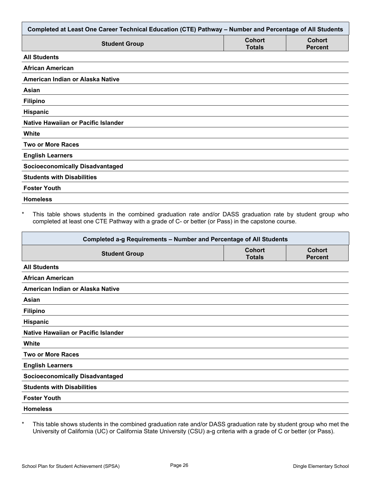| Completed at Least One Career Technical Education (CTE) Pathway - Number and Percentage of All Students |                                |                                 |  |
|---------------------------------------------------------------------------------------------------------|--------------------------------|---------------------------------|--|
| <b>Student Group</b>                                                                                    | <b>Cohort</b><br><b>Totals</b> | <b>Cohort</b><br><b>Percent</b> |  |
| <b>All Students</b>                                                                                     |                                |                                 |  |
| <b>African American</b>                                                                                 |                                |                                 |  |
| American Indian or Alaska Native                                                                        |                                |                                 |  |
| Asian                                                                                                   |                                |                                 |  |
| <b>Filipino</b>                                                                                         |                                |                                 |  |
| Hispanic                                                                                                |                                |                                 |  |
| Native Hawaiian or Pacific Islander                                                                     |                                |                                 |  |
| White                                                                                                   |                                |                                 |  |
| <b>Two or More Races</b>                                                                                |                                |                                 |  |
| <b>English Learners</b>                                                                                 |                                |                                 |  |
| <b>Socioeconomically Disadvantaged</b>                                                                  |                                |                                 |  |
| <b>Students with Disabilities</b>                                                                       |                                |                                 |  |
| <b>Foster Youth</b>                                                                                     |                                |                                 |  |
| <b>Homeless</b>                                                                                         |                                |                                 |  |

\* This table shows students in the combined graduation rate and/or DASS graduation rate by student group who completed at least one CTE Pathway with a grade of C- or better (or Pass) in the capstone course.

| Completed a-g Requirements - Number and Percentage of All Students |                                |                                 |  |  |
|--------------------------------------------------------------------|--------------------------------|---------------------------------|--|--|
| <b>Student Group</b>                                               | <b>Cohort</b><br><b>Totals</b> | <b>Cohort</b><br><b>Percent</b> |  |  |
| <b>All Students</b>                                                |                                |                                 |  |  |
| <b>African American</b>                                            |                                |                                 |  |  |
| American Indian or Alaska Native                                   |                                |                                 |  |  |
| Asian                                                              |                                |                                 |  |  |
| <b>Filipino</b>                                                    |                                |                                 |  |  |
| <b>Hispanic</b>                                                    |                                |                                 |  |  |
| Native Hawaiian or Pacific Islander                                |                                |                                 |  |  |
| White                                                              |                                |                                 |  |  |
| <b>Two or More Races</b>                                           |                                |                                 |  |  |
| <b>English Learners</b>                                            |                                |                                 |  |  |
| <b>Socioeconomically Disadvantaged</b>                             |                                |                                 |  |  |
| <b>Students with Disabilities</b>                                  |                                |                                 |  |  |
| <b>Foster Youth</b>                                                |                                |                                 |  |  |
| <b>Homeless</b>                                                    |                                |                                 |  |  |

\* This table shows students in the combined graduation rate and/or DASS graduation rate by student group who met the University of California (UC) or California State University (CSU) a-g criteria with a grade of C or better (or Pass).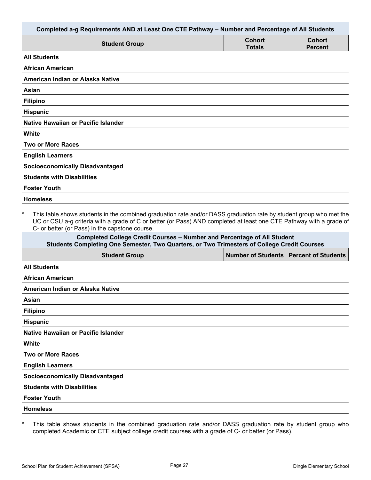| Completed a-g Requirements AND at Least One CTE Pathway - Number and Percentage of All Students                                                                                                                                                                                                        |                                |                                 |
|--------------------------------------------------------------------------------------------------------------------------------------------------------------------------------------------------------------------------------------------------------------------------------------------------------|--------------------------------|---------------------------------|
| <b>Student Group</b>                                                                                                                                                                                                                                                                                   | <b>Cohort</b><br><b>Totals</b> | <b>Cohort</b><br><b>Percent</b> |
| <b>All Students</b>                                                                                                                                                                                                                                                                                    |                                |                                 |
| African American                                                                                                                                                                                                                                                                                       |                                |                                 |
| American Indian or Alaska Native                                                                                                                                                                                                                                                                       |                                |                                 |
| Asian                                                                                                                                                                                                                                                                                                  |                                |                                 |
| <b>Filipino</b>                                                                                                                                                                                                                                                                                        |                                |                                 |
| <b>Hispanic</b>                                                                                                                                                                                                                                                                                        |                                |                                 |
| Native Hawaiian or Pacific Islander                                                                                                                                                                                                                                                                    |                                |                                 |
| White                                                                                                                                                                                                                                                                                                  |                                |                                 |
| <b>Two or More Races</b>                                                                                                                                                                                                                                                                               |                                |                                 |
| <b>English Learners</b>                                                                                                                                                                                                                                                                                |                                |                                 |
| <b>Socioeconomically Disadvantaged</b>                                                                                                                                                                                                                                                                 |                                |                                 |
| <b>Students with Disabilities</b>                                                                                                                                                                                                                                                                      |                                |                                 |
| <b>Foster Youth</b>                                                                                                                                                                                                                                                                                    |                                |                                 |
| <b>Homeless</b>                                                                                                                                                                                                                                                                                        |                                |                                 |
| $\star$<br>This table shows students in the combined graduation rate and/or DASS graduation rate by student group who met the<br>UC or CSU a-g criteria with a grade of C or better (or Pass) AND completed at least one CTE Pathway with a grade of<br>C- or better (or Pass) in the capstone course. |                                |                                 |
| <b>Completed College Credit Courses - Number and Percentage of All Student</b><br>Students Completing One Semester, Two Quarters, or Two Trimesters of College Credit Courses                                                                                                                          |                                |                                 |
| <b>Student Group</b>                                                                                                                                                                                                                                                                                   | Number of Students             | <b>Percent of Students</b>      |
| <b>All Students</b>                                                                                                                                                                                                                                                                                    |                                |                                 |
| <b>African American</b>                                                                                                                                                                                                                                                                                |                                |                                 |
| American Indian or Alaska Native                                                                                                                                                                                                                                                                       |                                |                                 |
| Asian                                                                                                                                                                                                                                                                                                  |                                |                                 |
| <b>Filipino</b>                                                                                                                                                                                                                                                                                        |                                |                                 |

**Hispanic**

**Native Hawaiian or Pacific Islander**

**White**

**Two or More Races**

**English Learners**

**Socioeconomically Disadvantaged**

**Students with Disabilities**

**Foster Youth**

**Homeless**

\* This table shows students in the combined graduation rate and/or DASS graduation rate by student group who completed Academic or CTE subject college credit courses with a grade of C- or better (or Pass).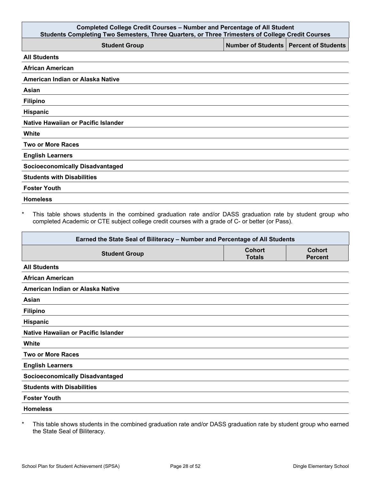| <b>Completed College Credit Courses - Number and Percentage of All Student</b><br>Students Completing Two Semesters, Three Quarters, or Three Trimesters of College Credit Courses |                                          |  |  |  |
|------------------------------------------------------------------------------------------------------------------------------------------------------------------------------------|------------------------------------------|--|--|--|
| <b>Student Group</b>                                                                                                                                                               | Number of Students   Percent of Students |  |  |  |
| <b>All Students</b>                                                                                                                                                                |                                          |  |  |  |
| <b>African American</b>                                                                                                                                                            |                                          |  |  |  |
| American Indian or Alaska Native                                                                                                                                                   |                                          |  |  |  |
| Asian                                                                                                                                                                              |                                          |  |  |  |
| <b>Filipino</b>                                                                                                                                                                    |                                          |  |  |  |
| Hispanic                                                                                                                                                                           |                                          |  |  |  |
| Native Hawaiian or Pacific Islander                                                                                                                                                |                                          |  |  |  |
| White                                                                                                                                                                              |                                          |  |  |  |
| <b>Two or More Races</b>                                                                                                                                                           |                                          |  |  |  |
| <b>English Learners</b>                                                                                                                                                            |                                          |  |  |  |
| <b>Socioeconomically Disadvantaged</b>                                                                                                                                             |                                          |  |  |  |
| <b>Students with Disabilities</b>                                                                                                                                                  |                                          |  |  |  |
| <b>Foster Youth</b>                                                                                                                                                                |                                          |  |  |  |
| <b>Homeless</b>                                                                                                                                                                    |                                          |  |  |  |

\* This table shows students in the combined graduation rate and/or DASS graduation rate by student group who completed Academic or CTE subject college credit courses with a grade of C- or better (or Pass).

| Earned the State Seal of Biliteracy - Number and Percentage of All Students |                                |                                 |  |  |
|-----------------------------------------------------------------------------|--------------------------------|---------------------------------|--|--|
| <b>Student Group</b>                                                        | <b>Cohort</b><br><b>Totals</b> | <b>Cohort</b><br><b>Percent</b> |  |  |
| <b>All Students</b>                                                         |                                |                                 |  |  |
| <b>African American</b>                                                     |                                |                                 |  |  |
| American Indian or Alaska Native                                            |                                |                                 |  |  |
| Asian                                                                       |                                |                                 |  |  |
| <b>Filipino</b>                                                             |                                |                                 |  |  |
| Hispanic                                                                    |                                |                                 |  |  |
| Native Hawaiian or Pacific Islander                                         |                                |                                 |  |  |
| <b>White</b>                                                                |                                |                                 |  |  |
| <b>Two or More Races</b>                                                    |                                |                                 |  |  |
| <b>English Learners</b>                                                     |                                |                                 |  |  |
| <b>Socioeconomically Disadvantaged</b>                                      |                                |                                 |  |  |
| <b>Students with Disabilities</b>                                           |                                |                                 |  |  |
| <b>Foster Youth</b>                                                         |                                |                                 |  |  |
| <b>Homeless</b>                                                             |                                |                                 |  |  |

\* This table shows students in the combined graduation rate and/or DASS graduation rate by student group who earned the State Seal of Biliteracy.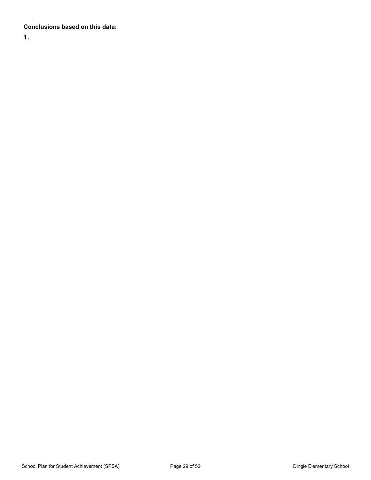#### **Conclusions based on this data:**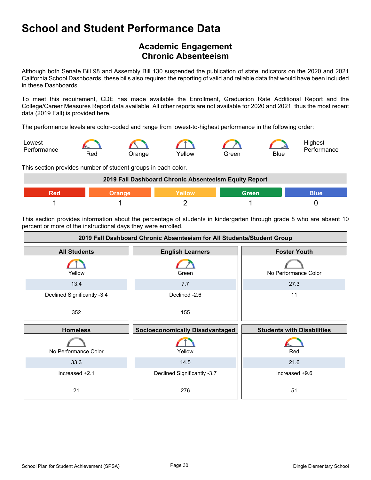### **Academic Engagement Chronic Absenteeism**

Although both Senate Bill 98 and Assembly Bill 130 suspended the publication of state indicators on the 2020 and 2021 California School Dashboards, these bills also required the reporting of valid and reliable data that would have been included in these Dashboards.

To meet this requirement, CDE has made available the Enrollment, Graduation Rate Additional Report and the College/Career Measures Report data available. All other reports are not available for 2020 and 2021, thus the most recent data (2019 Fall) is provided here.

The performance levels are color-coded and range from lowest-to-highest performance in the following order:



This section provides number of student groups in each color.

| 2019 Fall Dashboard Chronic Absenteeism Equity Report |  |  |  |  |  |
|-------------------------------------------------------|--|--|--|--|--|
| Green<br>3lue                                         |  |  |  |  |  |
|                                                       |  |  |  |  |  |

This section provides information about the percentage of students in kindergarten through grade 8 who are absent 10 percent or more of the instructional days they were enrolled.

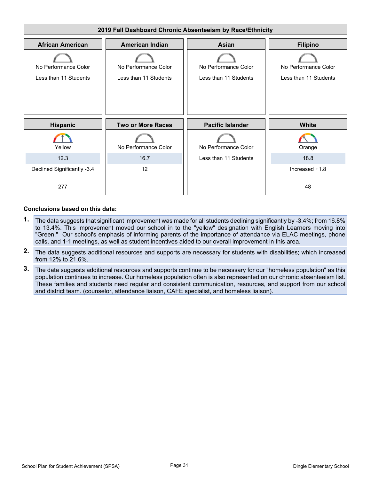

#### **Conclusions based on this data:**

- **1.** The data suggests that significant improvement was made for all students declining significantly by -3.4%; from 16.8% to 13.4%. This improvement moved our school in to the "yellow" designation with English Learners moving into "Green." Our school's emphasis of informing parents of the importance of attendance via ELAC meetings, phone calls, and 1-1 meetings, as well as student incentives aided to our overall improvement in this area.
- **2.** The data suggests additional resources and supports are necessary for students with disabilities; which increased from 12% to 21.6%.
- **3.** The data suggests additional resources and supports continue to be necessary for our "homeless population" as this population continues to increase. Our homeless population often is also represented on our chronic absenteeism list. These families and students need regular and consistent communication, resources, and support from our school and district team. (counselor, attendance liaison, CAFE specialist, and homeless liaison).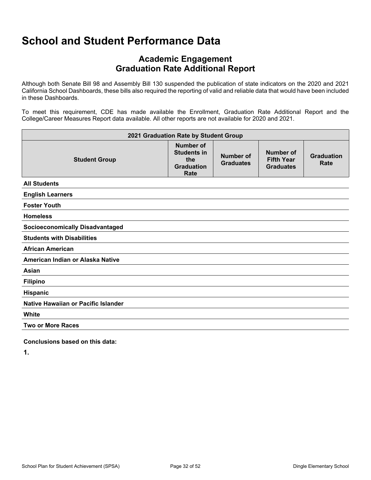### **Academic Engagement Graduation Rate Additional Report**

Although both Senate Bill 98 and Assembly Bill 130 suspended the publication of state indicators on the 2020 and 2021 California School Dashboards, these bills also required the reporting of valid and reliable data that would have been included in these Dashboards.

To meet this requirement, CDE has made available the Enrollment, Graduation Rate Additional Report and the College/Career Measures Report data available. All other reports are not available for 2020 and 2021.

| 2021 Graduation Rate by Student Group  |                                                                            |                               |                                                    |                           |
|----------------------------------------|----------------------------------------------------------------------------|-------------------------------|----------------------------------------------------|---------------------------|
| <b>Student Group</b>                   | <b>Number of</b><br><b>Students in</b><br>the<br><b>Graduation</b><br>Rate | Number of<br><b>Graduates</b> | Number of<br><b>Fifth Year</b><br><b>Graduates</b> | <b>Graduation</b><br>Rate |
| <b>All Students</b>                    |                                                                            |                               |                                                    |                           |
| <b>English Learners</b>                |                                                                            |                               |                                                    |                           |
| <b>Foster Youth</b>                    |                                                                            |                               |                                                    |                           |
| <b>Homeless</b>                        |                                                                            |                               |                                                    |                           |
| <b>Socioeconomically Disadvantaged</b> |                                                                            |                               |                                                    |                           |
| <b>Students with Disabilities</b>      |                                                                            |                               |                                                    |                           |
| <b>African American</b>                |                                                                            |                               |                                                    |                           |
| American Indian or Alaska Native       |                                                                            |                               |                                                    |                           |
| Asian                                  |                                                                            |                               |                                                    |                           |
| <b>Filipino</b>                        |                                                                            |                               |                                                    |                           |
| Hispanic                               |                                                                            |                               |                                                    |                           |
| Native Hawaiian or Pacific Islander    |                                                                            |                               |                                                    |                           |
| White                                  |                                                                            |                               |                                                    |                           |
| <b>Two or More Races</b>               |                                                                            |                               |                                                    |                           |

**Conclusions based on this data:**

**1.**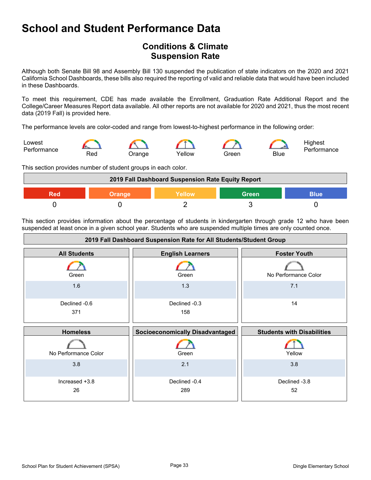### **Conditions & Climate Suspension Rate**

Although both Senate Bill 98 and Assembly Bill 130 suspended the publication of state indicators on the 2020 and 2021 California School Dashboards, these bills also required the reporting of valid and reliable data that would have been included in these Dashboards.

To meet this requirement, CDE has made available the Enrollment, Graduation Rate Additional Report and the College/Career Measures Report data available. All other reports are not available for 2020 and 2021, thus the most recent data (2019 Fall) is provided here.

The performance levels are color-coded and range from lowest-to-highest performance in the following order:





This section provides number of student groups in each color.



This section provides information about the percentage of students in kindergarten through grade 12 who have been suspended at least once in a given school year. Students who are suspended multiple times are only counted once.

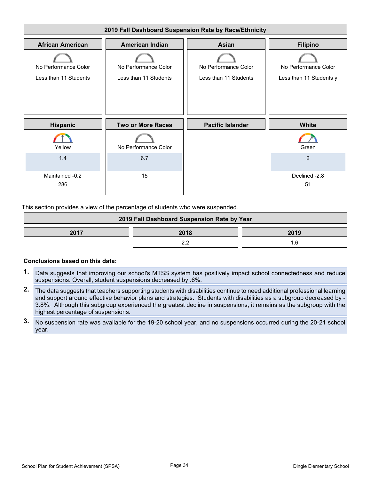

This section provides a view of the percentage of students who were suspended.

| 2019 Fall Dashboard Suspension Rate by Year |  |  |  |
|---------------------------------------------|--|--|--|
| 2017<br>2018                                |  |  |  |
|                                             |  |  |  |

#### **Conclusions based on this data:**

- **1.** Data suggests that improving our school's MTSS system has positively impact school connectedness and reduce suspensions. Overall, student suspensions decreased by .6%.
- **2.** The data suggests that teachers supporting students with disabilities continue to need additional professional learning and support around effective behavior plans and strategies. Students with disabilities as a subgroup decreased by - 3.8%. Although this subgroup experienced the greatest decline in suspensions, it remains as the subgroup with the highest percentage of suspensions.
- **3.** No suspension rate was available for the 19-20 school year, and no suspensions occurred during the 20-21 school year.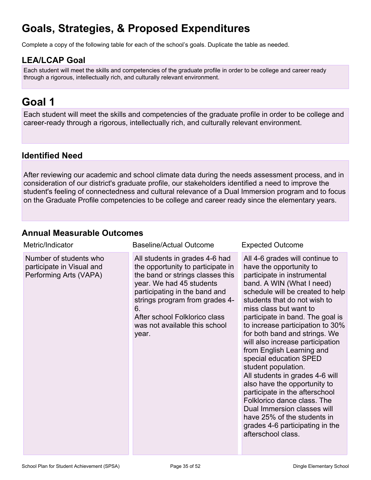## **Goals, Strategies, & Proposed Expenditures**

Complete a copy of the following table for each of the school's goals. Duplicate the table as needed.

### **LEA/LCAP Goal**

Each student will meet the skills and competencies of the graduate profile in order to be college and career ready through a rigorous, intellectually rich, and culturally relevant environment.

## **Goal 1**

Each student will meet the skills and competencies of the graduate profile in order to be college and career-ready through a rigorous, intellectually rich, and culturally relevant environment.

### **Identified Need**

After reviewing our academic and school climate data during the needs assessment process, and in consideration of our district's graduate profile, our stakeholders identified a need to improve the student's feeling of connectedness and cultural relevance of a Dual Immersion program and to focus on the Graduate Profile competencies to be college and career ready since the elementary years.

### **Annual Measurable Outcomes**

| Metric/Indicator                                                              | <b>Baseline/Actual Outcome</b>                                                                                                                                                                                                                                                          | <b>Expected Outcome</b>                                                                                                                                                                                                                                                                                                                                                                                                                                                                                                                                                                                                                                                                                    |
|-------------------------------------------------------------------------------|-----------------------------------------------------------------------------------------------------------------------------------------------------------------------------------------------------------------------------------------------------------------------------------------|------------------------------------------------------------------------------------------------------------------------------------------------------------------------------------------------------------------------------------------------------------------------------------------------------------------------------------------------------------------------------------------------------------------------------------------------------------------------------------------------------------------------------------------------------------------------------------------------------------------------------------------------------------------------------------------------------------|
| Number of students who<br>participate in Visual and<br>Performing Arts (VAPA) | All students in grades 4-6 had<br>the opportunity to participate in<br>the band or strings classes this<br>year. We had 45 students<br>participating in the band and<br>strings program from grades 4-<br>6.<br>After school Folklorico class<br>was not available this school<br>year. | All 4-6 grades will continue to<br>have the opportunity to<br>participate in instrumental<br>band. A WIN (What I need)<br>schedule will be created to help<br>students that do not wish to<br>miss class but want to<br>participate in band. The goal is<br>to increase participation to 30%<br>for both band and strings. We<br>will also increase participation<br>from English Learning and<br>special education SPED<br>student population.<br>All students in grades 4-6 will<br>also have the opportunity to<br>participate in the afterschool<br>Folklorico dance class. The<br>Dual Immersion classes will<br>have 25% of the students in<br>grades 4-6 participating in the<br>afterschool class. |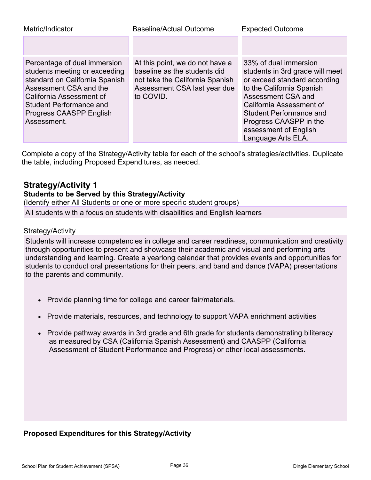| Metric/Indicator                                                                                                                                                                                                           | <b>Baseline/Actual Outcome</b>                                                                                                                  | <b>Expected Outcome</b>                                                                                                                                                                                                                                                            |
|----------------------------------------------------------------------------------------------------------------------------------------------------------------------------------------------------------------------------|-------------------------------------------------------------------------------------------------------------------------------------------------|------------------------------------------------------------------------------------------------------------------------------------------------------------------------------------------------------------------------------------------------------------------------------------|
|                                                                                                                                                                                                                            |                                                                                                                                                 |                                                                                                                                                                                                                                                                                    |
| Percentage of dual immersion<br>students meeting or exceeding<br>standard on California Spanish<br>Assessment CSA and the<br>California Assessment of<br>Student Performance and<br>Progress CAASPP English<br>Assessment. | At this point, we do not have a<br>baseline as the students did<br>not take the California Spanish<br>Assessment CSA last year due<br>to COVID. | 33% of dual immersion<br>students in 3rd grade will meet<br>or exceed standard according<br>to the California Spanish<br>Assessment CSA and<br>California Assessment of<br><b>Student Performance and</b><br>Progress CAASPP in the<br>assessment of English<br>Language Arts ELA. |

Complete a copy of the Strategy/Activity table for each of the school's strategies/activities. Duplicate the table, including Proposed Expenditures, as needed.

### **Strategy/Activity 1 Students to be Served by this Strategy/Activity**

(Identify either All Students or one or more specific student groups) All students with a focus on students with disabilities and English learners

#### Strategy/Activity

Students will increase competencies in college and career readiness, communication and creativity through opportunities to present and showcase their academic and visual and performing arts understanding and learning. Create a yearlong calendar that provides events and opportunities for students to conduct oral presentations for their peers, and band and dance (VAPA) presentations to the parents and community.

- Provide planning time for college and career fair/materials.
- Provide materials, resources, and technology to support VAPA enrichment activities
- Provide pathway awards in 3rd grade and 6th grade for students demonstrating biliteracy as measured by CSA (California Spanish Assessment) and CAASPP (California Assessment of Student Performance and Progress) or other local assessments.

### **Proposed Expenditures for this Strategy/Activity**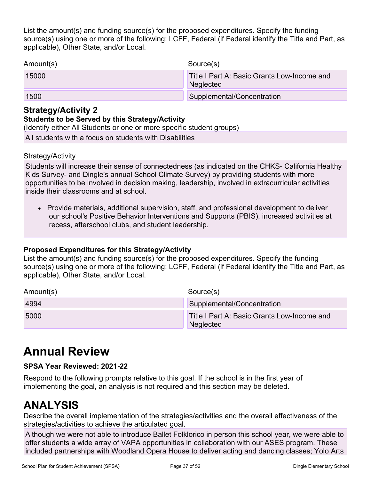List the amount(s) and funding source(s) for the proposed expenditures. Specify the funding source(s) using one or more of the following: LCFF, Federal (if Federal identify the Title and Part, as applicable), Other State, and/or Local.

| Amount(s) | Source(s)                                                |
|-----------|----------------------------------------------------------|
| 15000     | Title I Part A: Basic Grants Low-Income and<br>Neglected |
| 1500      | Supplemental/Concentration                               |

### **Strategy/Activity 2**

#### **Students to be Served by this Strategy/Activity**

(Identify either All Students or one or more specific student groups)

All students with a focus on students with Disabilities

#### Strategy/Activity

Students will increase their sense of connectedness (as indicated on the CHKS- California Healthy Kids Survey- and Dingle's annual School Climate Survey) by providing students with more opportunities to be involved in decision making, leadership, involved in extracurricular activities inside their classrooms and at school.

• Provide materials, additional supervision, staff, and professional development to deliver our school's Positive Behavior Interventions and Supports (PBIS), increased activities at recess, afterschool clubs, and student leadership.

#### **Proposed Expenditures for this Strategy/Activity**

List the amount(s) and funding source(s) for the proposed expenditures. Specify the funding source(s) using one or more of the following: LCFF, Federal (if Federal identify the Title and Part, as applicable), Other State, and/or Local.

| Amount(s) | Source(s)                                                       |
|-----------|-----------------------------------------------------------------|
| 4994      | Supplemental/Concentration                                      |
| 5000      | Title I Part A: Basic Grants Low-Income and<br><b>Neglected</b> |

## **Annual Review**

#### **SPSA Year Reviewed: 2021-22**

Respond to the following prompts relative to this goal. If the school is in the first year of implementing the goal, an analysis is not required and this section may be deleted.

## **ANALYSIS**

Describe the overall implementation of the strategies/activities and the overall effectiveness of the strategies/activities to achieve the articulated goal.

Although we were not able to introduce Ballet Folklorico in person this school year, we were able to offer students a wide array of VAPA opportunities in collaboration with our ASES program. These included partnerships with Woodland Opera House to deliver acting and dancing classes; Yolo Arts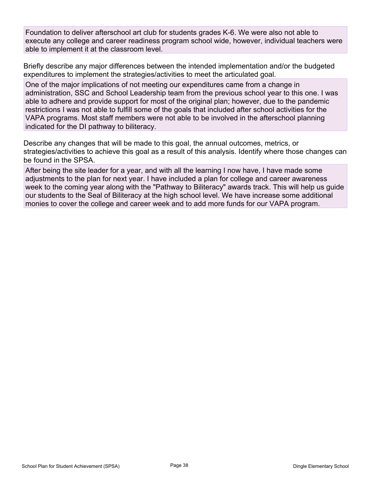Foundation to deliver afterschool art club for students grades K-6. We were also not able to execute any college and career readiness program school wide, however, individual teachers were able to implement it at the classroom level.

Briefly describe any major differences between the intended implementation and/or the budgeted expenditures to implement the strategies/activities to meet the articulated goal.

One of the major implications of not meeting our expenditures came from a change in administration, SSC and School Leadership team from the previous school year to this one. I was able to adhere and provide support for most of the original plan; however, due to the pandemic restrictions I was not able to fulfill some of the goals that included after school activities for the VAPA programs. Most staff members were not able to be involved in the afterschool planning indicated for the DI pathway to biliteracy.

Describe any changes that will be made to this goal, the annual outcomes, metrics, or strategies/activities to achieve this goal as a result of this analysis. Identify where those changes can be found in the SPSA.

After being the site leader for a year, and with all the learning I now have, I have made some adjustments to the plan for next year. I have included a plan for college and career awareness week to the coming year along with the "Pathway to Biliteracy" awards track. This will help us guide our students to the Seal of Biliteracy at the high school level. We have increase some additional monies to cover the college and career week and to add more funds for our VAPA program.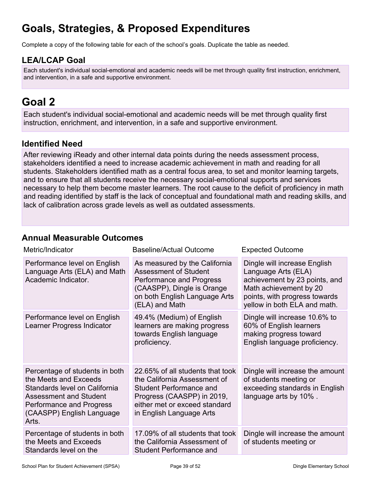## **Goals, Strategies, & Proposed Expenditures**

Complete a copy of the following table for each of the school's goals. Duplicate the table as needed.

### **LEA/LCAP Goal**

Each student's individual social-emotional and academic needs will be met through quality first instruction, enrichment, and intervention, in a safe and supportive environment.

## **Goal 2**

Each student's individual social-emotional and academic needs will be met through quality first instruction, enrichment, and intervention, in a safe and supportive environment.

### **Identified Need**

After reviewing iReady and other internal data points during the needs assessment process, stakeholders identified a need to increase academic achievement in math and reading for all students. Stakeholders identified math as a central focus area, to set and monitor learning targets, and to ensure that all students receive the necessary social-emotional supports and services necessary to help them become master learners. The root cause to the deficit of proficiency in math and reading identified by staff is the lack of conceptual and foundational math and reading skills, and lack of calibration across grade levels as well as outdated assessments.

### **Annual Measurable Outcomes**

| Metric/Indicator                                                                                                                                                                            | <b>Baseline/Actual Outcome</b>                                                                                                                                                                | <b>Expected Outcome</b>                                                                                                                                                         |
|---------------------------------------------------------------------------------------------------------------------------------------------------------------------------------------------|-----------------------------------------------------------------------------------------------------------------------------------------------------------------------------------------------|---------------------------------------------------------------------------------------------------------------------------------------------------------------------------------|
| Performance level on English<br>Language Arts (ELA) and Math<br>Academic Indicator.                                                                                                         | As measured by the California<br><b>Assessment of Student</b><br>Performance and Progress<br>(CAASPP), Dingle is Orange<br>on both English Language Arts<br>(ELA) and Math                    | Dingle will increase English<br>Language Arts (ELA)<br>achievement by 23 points, and<br>Math achievement by 20<br>points, with progress towards<br>yellow in both ELA and math. |
| Performance level on English<br>Learner Progress Indicator                                                                                                                                  | 49.4% (Medium) of English<br>learners are making progress<br>towards English language<br>proficiency.                                                                                         | Dingle will increase 10.6% to<br>60% of English learners<br>making progress toward<br>English language proficiency.                                                             |
| Percentage of students in both<br>the Meets and Exceeds<br>Standards level on California<br><b>Assessment and Student</b><br>Performance and Progress<br>(CAASPP) English Language<br>Arts. | 22.65% of all students that took<br>the California Assessment of<br><b>Student Performance and</b><br>Progress (CAASPP) in 2019,<br>either met or exceed standard<br>in English Language Arts | Dingle will increase the amount<br>of students meeting or<br>exceeding standards in English<br>language arts by 10%.                                                            |
| Percentage of students in both<br>the Meets and Exceeds<br>Standards level on the                                                                                                           | 17.09% of all students that took<br>the California Assessment of<br><b>Student Performance and</b>                                                                                            | Dingle will increase the amount<br>of students meeting or                                                                                                                       |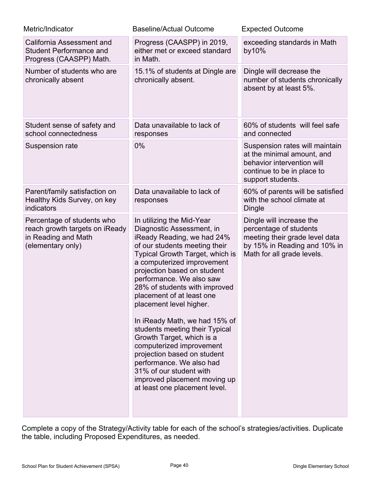| Metric/Indicator                                                                                         | <b>Baseline/Actual Outcome</b>                                                                                                                                                                                                                                                                                                                                                                                                                                                                                                                                                                                                | <b>Expected Outcome</b>                                                                                                                            |
|----------------------------------------------------------------------------------------------------------|-------------------------------------------------------------------------------------------------------------------------------------------------------------------------------------------------------------------------------------------------------------------------------------------------------------------------------------------------------------------------------------------------------------------------------------------------------------------------------------------------------------------------------------------------------------------------------------------------------------------------------|----------------------------------------------------------------------------------------------------------------------------------------------------|
| California Assessment and<br><b>Student Performance and</b><br>Progress (CAASPP) Math.                   | Progress (CAASPP) in 2019,<br>either met or exceed standard<br>in Math.                                                                                                                                                                                                                                                                                                                                                                                                                                                                                                                                                       | exceeding standards in Math<br>by $10\%$                                                                                                           |
| Number of students who are<br>chronically absent                                                         | 15.1% of students at Dingle are<br>chronically absent.                                                                                                                                                                                                                                                                                                                                                                                                                                                                                                                                                                        | Dingle will decrease the<br>number of students chronically<br>absent by at least 5%.                                                               |
| Student sense of safety and<br>school connectedness                                                      | Data unavailable to lack of<br>responses                                                                                                                                                                                                                                                                                                                                                                                                                                                                                                                                                                                      | 60% of students will feel safe<br>and connected                                                                                                    |
| Suspension rate                                                                                          | 0%                                                                                                                                                                                                                                                                                                                                                                                                                                                                                                                                                                                                                            | Suspension rates will maintain<br>at the minimal amount, and<br>behavior intervention will<br>continue to be in place to<br>support students.      |
| Parent/family satisfaction on<br>Healthy Kids Survey, on key<br>indicators                               | Data unavailable to lack of<br>responses                                                                                                                                                                                                                                                                                                                                                                                                                                                                                                                                                                                      | 60% of parents will be satisfied<br>with the school climate at<br>Dingle                                                                           |
| Percentage of students who<br>reach growth targets on iReady<br>in Reading and Math<br>(elementary only) | In utilizing the Mid-Year<br>Diagnostic Assessment, in<br>iReady Reading, we had 24%<br>of our students meeting their<br>Typical Growth Target, which is<br>a computerized improvement<br>projection based on student<br>performance. We also saw<br>28% of students with improved<br>placement of at least one<br>placement level higher.<br>In iReady Math, we had 15% of<br>students meeting their Typical<br>Growth Target, which is a<br>computerized improvement<br>projection based on student<br>performance. We also had<br>31% of our student with<br>improved placement moving up<br>at least one placement level. | Dingle will increase the<br>percentage of students<br>meeting their grade level data<br>by 15% in Reading and 10% in<br>Math for all grade levels. |

Complete a copy of the Strategy/Activity table for each of the school's strategies/activities. Duplicate the table, including Proposed Expenditures, as needed.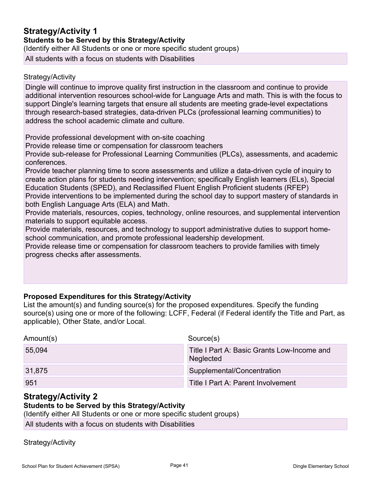## **Strategy/Activity 1 Students to be Served by this Strategy/Activity** (Identify either All Students or one or more specific student groups)

All students with a focus on students with Disabilities

#### Strategy/Activity

Dingle will continue to improve quality first instruction in the classroom and continue to provide additional intervention resources school-wide for Language Arts and math. This is with the focus to support Dingle's learning targets that ensure all students are meeting grade-level expectations through research-based strategies, data-driven PLCs (professional learning communities) to address the school academic climate and culture.

Provide professional development with on-site coaching

Provide release time or compensation for classroom teachers

Provide sub-release for Professional Learning Communities (PLCs), assessments, and academic conferences.

Provide teacher planning time to score assessments and utilize a data-driven cycle of inquiry to create action plans for students needing intervention; specifically English learners (ELs), Special Education Students (SPED), and Reclassified Fluent English Proficient students (RFEP) Provide interventions to be implemented during the school day to support mastery of standards in both English Language Arts (ELA) and Math.

Provide materials, resources, copies, technology, online resources, and supplemental intervention materials to support equitable access.

Provide materials, resources, and technology to support administrative duties to support homeschool communication, and promote professional leadership development.

Provide release time or compensation for classroom teachers to provide families with timely progress checks after assessments.

#### **Proposed Expenditures for this Strategy/Activity**

List the amount(s) and funding source(s) for the proposed expenditures. Specify the funding source(s) using one or more of the following: LCFF, Federal (if Federal identify the Title and Part, as applicable), Other State, and/or Local.

| Amount(s) | Source(s)                                                       |
|-----------|-----------------------------------------------------------------|
| 55,094    | Title I Part A: Basic Grants Low-Income and<br><b>Neglected</b> |
| 31,875    | Supplemental/Concentration                                      |
| 951       | Title I Part A: Parent Involvement                              |

### **Strategy/Activity 2**

#### **Students to be Served by this Strategy/Activity**

(Identify either All Students or one or more specific student groups)

All students with a focus on students with Disabilities

Strategy/Activity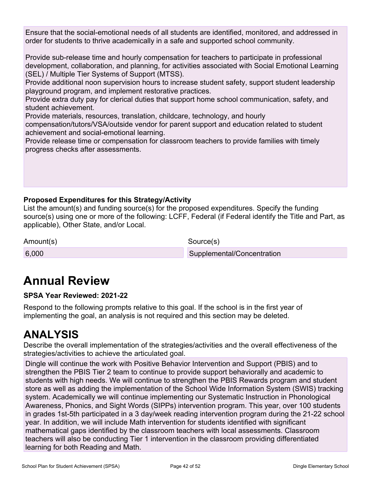Ensure that the social-emotional needs of all students are identified, monitored, and addressed in order for students to thrive academically in a safe and supported school community.

Provide sub-release time and hourly compensation for teachers to participate in professional development, collaboration, and planning, for activities associated with Social Emotional Learning (SEL) / Multiple Tier Systems of Support (MTSS).

Provide additional noon supervision hours to increase student safety, support student leadership playground program, and implement restorative practices.

Provide extra duty pay for clerical duties that support home school communication, safety, and student achievement.

Provide materials, resources, translation, childcare, technology, and hourly

compensation/tutors/VSA/outside vendor for parent support and education related to student achievement and social-emotional learning.

Provide release time or compensation for classroom teachers to provide families with timely progress checks after assessments.

### **Proposed Expenditures for this Strategy/Activity**

List the amount(s) and funding source(s) for the proposed expenditures. Specify the funding source(s) using one or more of the following: LCFF, Federal (if Federal identify the Title and Part, as applicable), Other State, and/or Local.

Amount(s) Source(s)

6,000 Supplemental/Concentration

## **Annual Review**

#### **SPSA Year Reviewed: 2021-22**

Respond to the following prompts relative to this goal. If the school is in the first year of implementing the goal, an analysis is not required and this section may be deleted.

## **ANALYSIS**

Describe the overall implementation of the strategies/activities and the overall effectiveness of the strategies/activities to achieve the articulated goal.

Dingle will continue the work with Positive Behavior Intervention and Support (PBIS) and to strengthen the PBIS Tier 2 team to continue to provide support behaviorally and academic to students with high needs. We will continue to strengthen the PBIS Rewards program and student store as well as adding the implementation of the School Wide Information System (SWIS) tracking system. Academically we will continue implementing our Systematic Instruction in Phonological Awareness, Phonics, and Sight Words (SIPPs) intervention program. This year, over 100 students in grades 1st-5th participated in a 3 day/week reading intervention program during the 21-22 school year. In addition, we will include Math intervention for students identified with significant mathematical gaps identified by the classroom teachers with local assessments. Classroom teachers will also be conducting Tier 1 intervention in the classroom providing differentiated learning for both Reading and Math.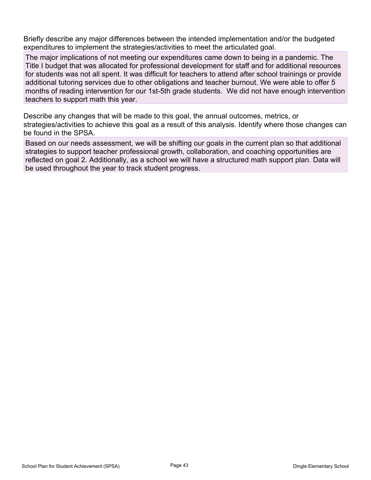Briefly describe any major differences between the intended implementation and/or the budgeted expenditures to implement the strategies/activities to meet the articulated goal.

The major implications of not meeting our expenditures came down to being in a pandemic. The Title I budget that was allocated for professional development for staff and for additional resources for students was not all spent. It was difficult for teachers to attend after school trainings or provide additional tutoring services due to other obligations and teacher burnout. We were able to offer 5 months of reading intervention for our 1st-5th grade students. We did not have enough intervention teachers to support math this year.

Describe any changes that will be made to this goal, the annual outcomes, metrics, or strategies/activities to achieve this goal as a result of this analysis. Identify where those changes can be found in the SPSA.

Based on our needs assessment, we will be shifting our goals in the current plan so that additional strategies to support teacher professional growth, collaboration, and coaching opportunities are reflected on goal 2. Additionally, as a school we will have a structured math support plan. Data will be used throughout the year to track student progress.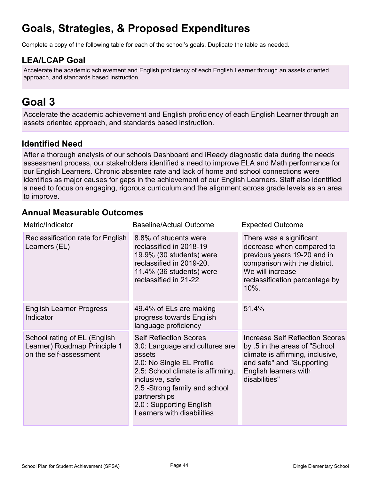## **Goals, Strategies, & Proposed Expenditures**

Complete a copy of the following table for each of the school's goals. Duplicate the table as needed.

### **LEA/LCAP Goal**

Accelerate the academic achievement and English proficiency of each English Learner through an assets oriented approach, and standards based instruction.

## **Goal 3**

Accelerate the academic achievement and English proficiency of each English Learner through an assets oriented approach, and standards based instruction.

### **Identified Need**

After a thorough analysis of our schools Dashboard and iReady diagnostic data during the needs assessment process, our stakeholders identified a need to improve ELA and Math performance for our English Learners. Chronic absentee rate and lack of home and school connections were identifies as major causes for gaps in the achievement of our English Learners. Staff also identified a need to focus on engaging, rigorous curriculum and the alignment across grade levels as an area to improve.

### **Annual Measurable Outcomes**

| Metric/Indicator                                                                       | <b>Baseline/Actual Outcome</b>                                                                                                                                                                                                                                             | <b>Expected Outcome</b>                                                                                                                                                               |
|----------------------------------------------------------------------------------------|----------------------------------------------------------------------------------------------------------------------------------------------------------------------------------------------------------------------------------------------------------------------------|---------------------------------------------------------------------------------------------------------------------------------------------------------------------------------------|
| Reclassification rate for English<br>Learners (EL)                                     | 8.8% of students were<br>reclassified in 2018-19<br>19.9% (30 students) were<br>reclassified in 2019-20.<br>11.4% (36 students) were<br>reclassified in 21-22                                                                                                              | There was a significant<br>decrease when compared to<br>previous years 19-20 and in<br>comparison with the district.<br>We will increase<br>reclassification percentage by<br>$10%$ . |
| <b>English Learner Progress</b><br>Indicator                                           | 49.4% of ELs are making<br>progress towards English<br>language proficiency                                                                                                                                                                                                | 51.4%                                                                                                                                                                                 |
| School rating of EL (English<br>Learner) Roadmap Principle 1<br>on the self-assessment | <b>Self Reflection Scores</b><br>3.0: Language and cultures are<br>assets<br>2.0: No Single EL Profile<br>2.5: School climate is affirming,<br>inclusive, safe<br>2.5 - Strong family and school<br>partnerships<br>2.0 : Supporting English<br>Learners with disabilities | <b>Increase Self Reflection Scores</b><br>by .5 in the areas of "School"<br>climate is affirming, inclusive,<br>and safe" and "Supporting<br>English learners with<br>disabilities"   |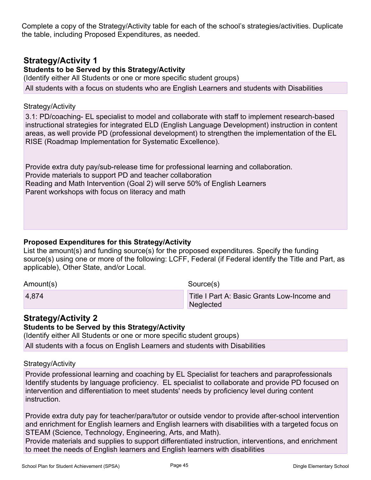Complete a copy of the Strategy/Activity table for each of the school's strategies/activities. Duplicate the table, including Proposed Expenditures, as needed.

### **Strategy/Activity 1**

**Students to be Served by this Strategy/Activity**

(Identify either All Students or one or more specific student groups) All students with a focus on students who are English Learners and students with Disabilities

#### Strategy/Activity

3.1: PD/coaching- EL specialist to model and collaborate with staff to implement research-based instructional strategies for integrated ELD (English Language Development) instruction in content areas, as well provide PD (professional development) to strengthen the implementation of the EL RISE (Roadmap Implementation for Systematic Excellence).

Provide extra duty pay/sub-release time for professional learning and collaboration. Provide materials to support PD and teacher collaboration Reading and Math Intervention (Goal 2) will serve 50% of English Learners Parent workshops with focus on literacy and math

#### **Proposed Expenditures for this Strategy/Activity**

List the amount(s) and funding source(s) for the proposed expenditures. Specify the funding source(s) using one or more of the following: LCFF, Federal (if Federal identify the Title and Part, as applicable), Other State, and/or Local.

| Amount(s) |  |
|-----------|--|
|-----------|--|

Source(s)

4,874 Title I Part A: Basic Grants Low-Income and **Neglected** 

### **Strategy/Activity 2**

#### **Students to be Served by this Strategy/Activity**

(Identify either All Students or one or more specific student groups)

All students with a focus on English Learners and students with Disabilities

#### Strategy/Activity

Provide professional learning and coaching by EL Specialist for teachers and paraprofessionals Identify students by language proficiency. EL specialist to collaborate and provide PD focused on intervention and differentiation to meet students' needs by proficiency level during content instruction.

Provide extra duty pay for teacher/para/tutor or outside vendor to provide after-school intervention and enrichment for English learners and English learners with disabilities with a targeted focus on STEAM (Science, Technology, Engineering, Arts, and Math).

Provide materials and supplies to support differentiated instruction, interventions, and enrichment to meet the needs of English learners and English learners with disabilities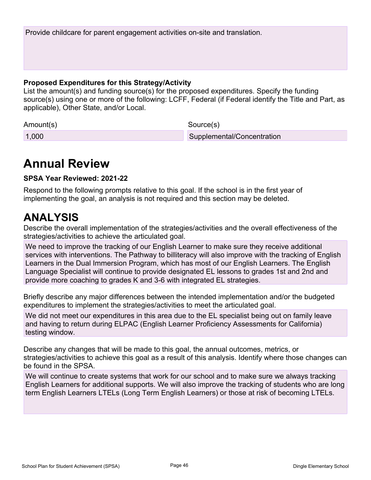Provide childcare for parent engagement activities on-site and translation.

#### **Proposed Expenditures for this Strategy/Activity**

List the amount(s) and funding source(s) for the proposed expenditures. Specify the funding source(s) using one or more of the following: LCFF, Federal (if Federal identify the Title and Part, as applicable), Other State, and/or Local.

Amount(s) Source(s)

1,000 Supplemental/Concentration

## **Annual Review**

#### **SPSA Year Reviewed: 2021-22**

Respond to the following prompts relative to this goal. If the school is in the first year of implementing the goal, an analysis is not required and this section may be deleted.

## **ANALYSIS**

Describe the overall implementation of the strategies/activities and the overall effectiveness of the strategies/activities to achieve the articulated goal.

We need to improve the tracking of our English Learner to make sure they receive additional services with interventions. The Pathway to billiteracy will also improve with the tracking of English Learners in the Dual Immersion Program, which has most of our English Learners. The English Language Specialist will continue to provide designated EL lessons to grades 1st and 2nd and provide more coaching to grades K and 3-6 with integrated EL strategies.

Briefly describe any major differences between the intended implementation and/or the budgeted expenditures to implement the strategies/activities to meet the articulated goal.

We did not meet our expenditures in this area due to the EL specialist being out on family leave and having to return during ELPAC (English Learner Proficiency Assessments for California) testing window.

Describe any changes that will be made to this goal, the annual outcomes, metrics, or strategies/activities to achieve this goal as a result of this analysis. Identify where those changes can be found in the SPSA.

We will continue to create systems that work for our school and to make sure we always tracking English Learners for additional supports. We will also improve the tracking of students who are long term English Learners LTELs (Long Term English Learners) or those at risk of becoming LTELs.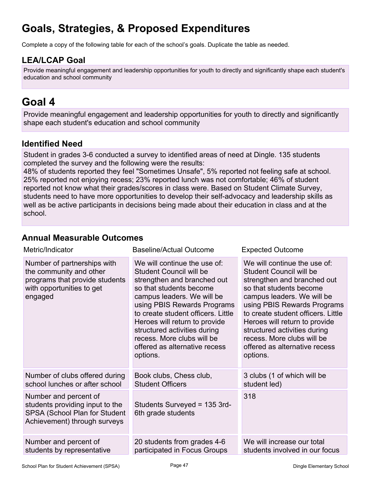## **Goals, Strategies, & Proposed Expenditures**

Complete a copy of the following table for each of the school's goals. Duplicate the table as needed.

### **LEA/LCAP Goal**

Provide meaningful engagement and leadership opportunities for youth to directly and significantly shape each student's education and school community

## **Goal 4**

Provide meaningful engagement and leadership opportunities for youth to directly and significantly shape each student's education and school community

### **Identified Need**

Student in grades 3-6 conducted a survey to identified areas of need at Dingle. 135 students completed the survey and the following were the results:

48% of students reported they feel "Sometimes Unsafe", 5% reported not feeling safe at school. 25% reported not enjoying recess; 23% reported lunch was not comfortable; 46% of student reported not know what their grades/scores in class were. Based on Student Climate Survey, students need to have more opportunities to develop their self-advocacy and leadership skills as well as be active participants in decisions being made about their education in class and at the school.

### **Annual Measurable Outcomes**

| Metric/Indicator                                                                                                                 | Baseline/Actual Outcome                                                                                                                                                                                                                                                                                                                                          | <b>Expected Outcome</b>                                                                                                                                                                                                                                                                                                                                                 |
|----------------------------------------------------------------------------------------------------------------------------------|------------------------------------------------------------------------------------------------------------------------------------------------------------------------------------------------------------------------------------------------------------------------------------------------------------------------------------------------------------------|-------------------------------------------------------------------------------------------------------------------------------------------------------------------------------------------------------------------------------------------------------------------------------------------------------------------------------------------------------------------------|
| Number of partnerships with<br>the community and other<br>programs that provide students<br>with opportunities to get<br>engaged | We will continue the use of:<br>Student Council will be<br>strengthen and branched out<br>so that students become<br>campus leaders. We will be<br>using PBIS Rewards Programs<br>to create student officers. Little<br>Heroes will return to provide<br>structured activities during<br>recess. More clubs will be<br>offered as alternative recess<br>options. | We will continue the use of:<br><b>Student Council will be</b><br>strengthen and branched out<br>so that students become<br>campus leaders. We will be<br>using PBIS Rewards Programs<br>to create student officers. Little<br>Heroes will return to provide<br>structured activities during<br>recess. More clubs will be<br>offered as alternative recess<br>options. |
| Number of clubs offered during<br>school lunches or after school                                                                 | Book clubs, Chess club,<br><b>Student Officers</b>                                                                                                                                                                                                                                                                                                               | 3 clubs (1 of which will be<br>student led)                                                                                                                                                                                                                                                                                                                             |
| Number and percent of<br>students providing input to the<br><b>SPSA (School Plan for Student</b><br>Achievement) through surveys | Students Surveyed = 135 3rd-<br>6th grade students                                                                                                                                                                                                                                                                                                               | 318                                                                                                                                                                                                                                                                                                                                                                     |
| Number and percent of<br>students by representative                                                                              | 20 students from grades 4-6<br>participated in Focus Groups                                                                                                                                                                                                                                                                                                      | We will increase our total<br>students involved in our focus                                                                                                                                                                                                                                                                                                            |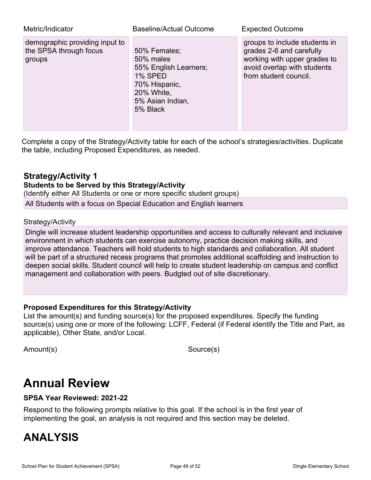| Metric/Indicator                                                   | <b>Baseline/Actual Outcome</b>                                                                                               | <b>Expected Outcome</b>                                                                                                                           |
|--------------------------------------------------------------------|------------------------------------------------------------------------------------------------------------------------------|---------------------------------------------------------------------------------------------------------------------------------------------------|
| demographic providing input to<br>the SPSA through focus<br>groups | 50% Females;<br>50% males<br>55% English Learners;<br>1% SPED<br>70% Hispanic,<br>20% White,<br>5% Asian Indian,<br>5% Black | groups to include students in<br>grades 2-6 and carefully<br>working with upper grades to<br>avoid overlap with students<br>from student council. |

Complete a copy of the Strategy/Activity table for each of the school's strategies/activities. Duplicate the table, including Proposed Expenditures, as needed.

### **Strategy/Activity 1**

#### **Students to be Served by this Strategy/Activity**

(Identify either All Students or one or more specific student groups)

All Students with a focus on Special Education and English learners

#### Strategy/Activity

Dingle will increase student leadership opportunities and access to culturally relevant and inclusive environment in which students can exercise autonomy, practice decision making skills, and improve attendance. Teachers will hold students to high standards and collaboration. All student will be part of a structured recess programs that promotes additional scaffolding and instruction to deepen social skills. Student council will help to create student leadership on campus and conflict management and collaboration with peers. Budgted out of site discretionary.

#### **Proposed Expenditures for this Strategy/Activity**

List the amount(s) and funding source(s) for the proposed expenditures. Specify the funding source(s) using one or more of the following: LCFF, Federal (if Federal identify the Title and Part, as applicable), Other State, and/or Local.

Amount(s) Source(s)

## **Annual Review**

#### **SPSA Year Reviewed: 2021-22**

Respond to the following prompts relative to this goal. If the school is in the first year of implementing the goal, an analysis is not required and this section may be deleted.

## **ANALYSIS**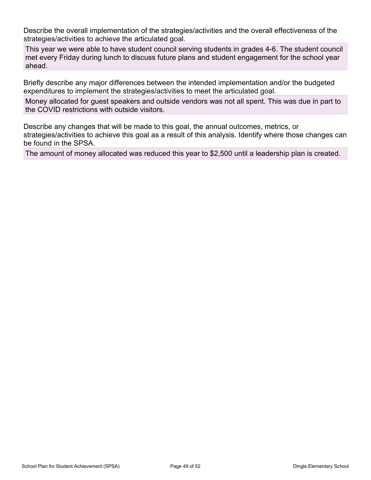Describe the overall implementation of the strategies/activities and the overall effectiveness of the strategies/activities to achieve the articulated goal.

This year we were able to have student council serving students in grades 4-6. The student council met every Friday during lunch to discuss future plans and student engagement for the school year ahead.

Briefly describe any major differences between the intended implementation and/or the budgeted expenditures to implement the strategies/activities to meet the articulated goal.

Money allocated for guest speakers and outside vendors was not all spent. This was due in part to the COVID restrictions with outside visitors.

Describe any changes that will be made to this goal, the annual outcomes, metrics, or strategies/activities to achieve this goal as a result of this analysis. Identify where those changes can be found in the SPSA.

The amount of money allocated was reduced this year to \$2,500 until a leadership plan is created.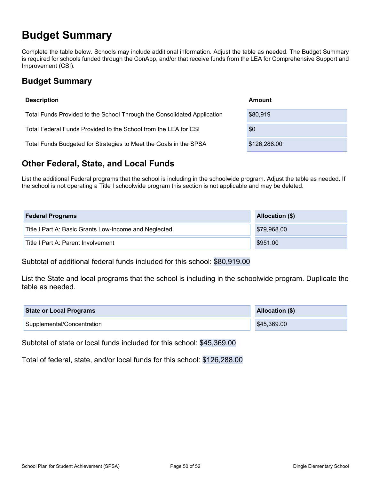## **Budget Summary**

Complete the table below. Schools may include additional information. Adjust the table as needed. The Budget Summary is required for schools funded through the ConApp, and/or that receive funds from the LEA for Comprehensive Support and Improvement (CSI).

### **Budget Summary**

| <b>Description</b>                                                      | Amount       |
|-------------------------------------------------------------------------|--------------|
| Total Funds Provided to the School Through the Consolidated Application | \$80,919     |
| Total Federal Funds Provided to the School from the LEA for CSI         | \$0          |
| Total Funds Budgeted for Strategies to Meet the Goals in the SPSA       | \$126,288.00 |

### **Other Federal, State, and Local Funds**

List the additional Federal programs that the school is including in the schoolwide program. Adjust the table as needed. If the school is not operating a Title I schoolwide program this section is not applicable and may be deleted.

| <b>Federal Programs</b>                               | <b>Allocation (\$)</b> |
|-------------------------------------------------------|------------------------|
| Title I Part A: Basic Grants Low-Income and Neglected | \$79,968.00            |
| Title I Part A: Parent Involvement                    | \$951.00               |

Subtotal of additional federal funds included for this school: \$80,919.00

List the State and local programs that the school is including in the schoolwide program. Duplicate the table as needed.

| <b>State or Local Programs</b> | Allocation (\$) |
|--------------------------------|-----------------|
| Supplemental/Concentration     | \$45,369.00     |

Subtotal of state or local funds included for this school: \$45,369.00

Total of federal, state, and/or local funds for this school: \$126,288.00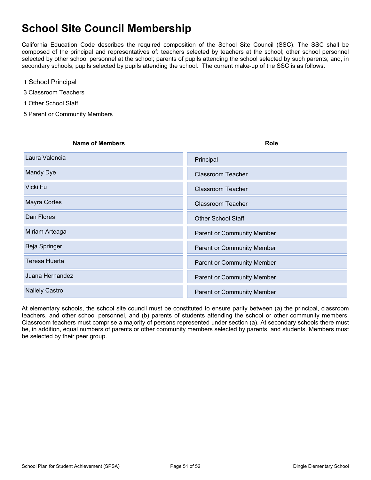## **School Site Council Membership**

California Education Code describes the required composition of the School Site Council (SSC). The SSC shall be composed of the principal and representatives of: teachers selected by teachers at the school; other school personnel selected by other school personnel at the school; parents of pupils attending the school selected by such parents; and, in secondary schools, pupils selected by pupils attending the school. The current make-up of the SSC is as follows:

- 1 School Principal
- 3 Classroom Teachers
- 1 Other School Staff
- 5 Parent or Community Members

| <b>Name of Members</b> | <b>Role</b>                       |
|------------------------|-----------------------------------|
| Laura Valencia         | Principal                         |
| Mandy Dye              | <b>Classroom Teacher</b>          |
| Vicki Fu               | <b>Classroom Teacher</b>          |
| <b>Mayra Cortes</b>    | <b>Classroom Teacher</b>          |
| Dan Flores             | <b>Other School Staff</b>         |
| Miriam Arteaga         | <b>Parent or Community Member</b> |
| Beja Springer          | <b>Parent or Community Member</b> |
| Teresa Huerta          | <b>Parent or Community Member</b> |
| Juana Hernandez        | <b>Parent or Community Member</b> |
| <b>Nallely Castro</b>  | <b>Parent or Community Member</b> |

At elementary schools, the school site council must be constituted to ensure parity between (a) the principal, classroom teachers, and other school personnel, and (b) parents of students attending the school or other community members. Classroom teachers must comprise a majority of persons represented under section (a). At secondary schools there must be, in addition, equal numbers of parents or other community members selected by parents, and students. Members must be selected by their peer group.